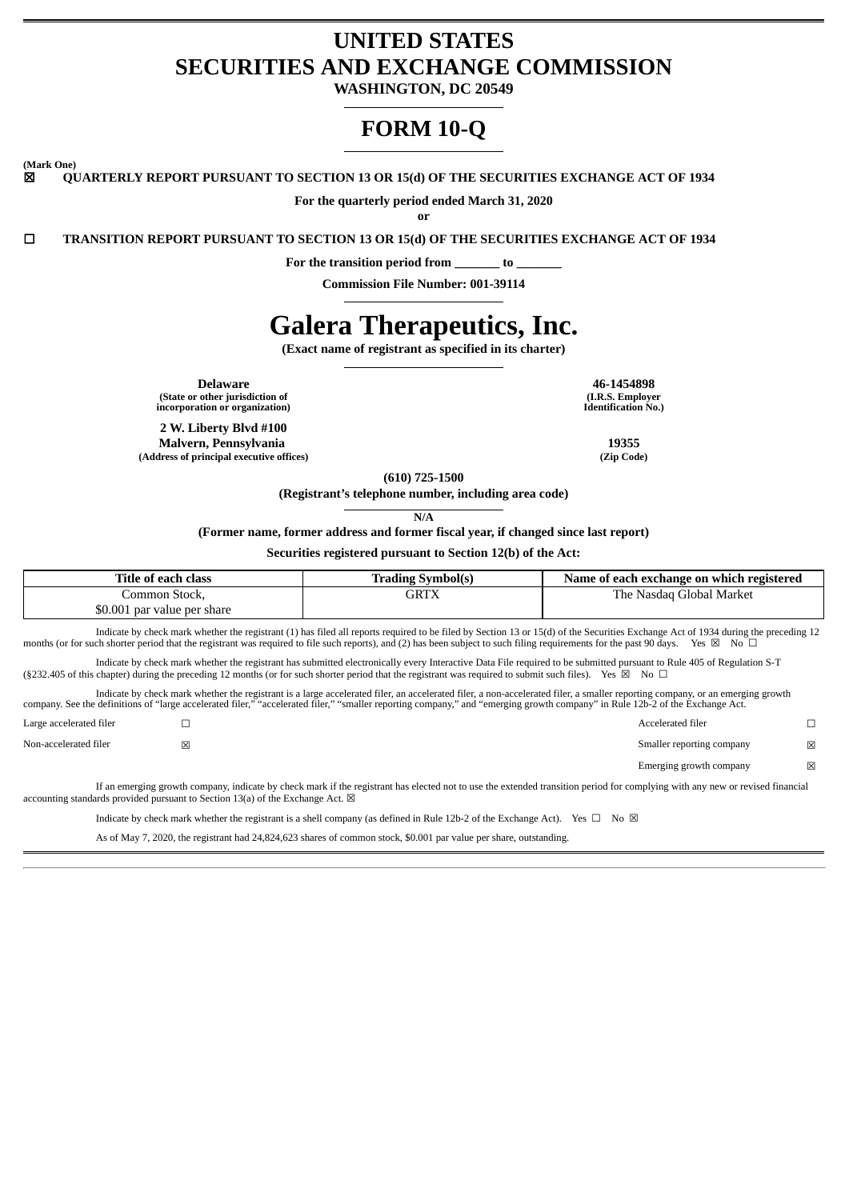## **UNITED STATES SECURITIES AND EXCHANGE COMMISSION**

**WASHINGTON, DC 20549**

## **FORM 10-Q**

**(Mark One)**

☒ **QUARTERLY REPORT PURSUANT TO SECTION 13 OR 15(d) OF THE SECURITIES EXCHANGE ACT OF 1934**

**For the quarterly period ended March 31, 2020**

**or**

☐ **TRANSITION REPORT PURSUANT TO SECTION 13 OR 15(d) OF THE SECURITIES EXCHANGE ACT OF 1934**

**For the transition period from \_\_\_\_\_\_\_ to \_\_\_\_\_\_\_**

**Commission File Number: 001-39114**

## **Galera Therapeutics, Inc.**

**(Exact name of registrant as specified in its charter)**

**(State or other jurisdiction of incorporation or organization)**

**2 W. Liberty Blvd #100**

**Malvern, Pennsylvania 19355 (Address of principal executive offices) (Zip Code)**

**Delaware 46-1454898 (I.R.S. Employer Identification No.)**

**(610) 725-1500**

**(Registrant's telephone number, including area code)**

**N/A**

**(Former name, former address and former fiscal year, if changed since last report)**

**Securities registered pursuant to Section 12(b) of the Act:**

| Title of each class                                                                      | <b>Trading Symbol(s)</b>                                                                                                                                                                                                                                                                                                                                                                                                                                                                                                                             | Name of each exchange on which registered                                                                                                                                          |
|------------------------------------------------------------------------------------------|------------------------------------------------------------------------------------------------------------------------------------------------------------------------------------------------------------------------------------------------------------------------------------------------------------------------------------------------------------------------------------------------------------------------------------------------------------------------------------------------------------------------------------------------------|------------------------------------------------------------------------------------------------------------------------------------------------------------------------------------|
| Common Stock,                                                                            | <b>GRTX</b>                                                                                                                                                                                                                                                                                                                                                                                                                                                                                                                                          | The Nasdag Global Market                                                                                                                                                           |
| \$0.001 par value per share                                                              |                                                                                                                                                                                                                                                                                                                                                                                                                                                                                                                                                      |                                                                                                                                                                                    |
|                                                                                          | months (or for such shorter period that the registrant was required to file such reports), and (2) has been subject to such filing requirements for the past 90 days. Yes $\boxtimes$ No $\Box$<br>Indicate by check mark whether the registrant has submitted electronically every Interactive Data File required to be submitted pursuant to Rule 405 of Regulation S-T<br>(§232.405 of this chapter) during the preceding 12 months (or for such shorter period that the registrant was required to submit such files). Yes $\boxtimes$ No $\Box$ | Indicate by check mark whether the registrant (1) has filed all reports required to be filed by Section 13 or 15(d) of the Securities Exchange Act of 1934 during the preceding 12 |
|                                                                                          | Indicate by check mark whether the registrant is a large accelerated filer, an accelerated filer, a non-accelerated filer, a smaller reporting company, or an emerging growth<br>company. See the definitions of "large accelerated filer," "accelerated filer," "smaller reporting company," and "emerging growth company" in Rule 12b-2 of the Exchange Act.                                                                                                                                                                                       |                                                                                                                                                                                    |
| Large accelerated filer                                                                  |                                                                                                                                                                                                                                                                                                                                                                                                                                                                                                                                                      | Accelerated filer                                                                                                                                                                  |
| Non-accelerated filer<br>⊠                                                               |                                                                                                                                                                                                                                                                                                                                                                                                                                                                                                                                                      | Smaller reporting company<br>X                                                                                                                                                     |
|                                                                                          |                                                                                                                                                                                                                                                                                                                                                                                                                                                                                                                                                      | Emerging growth company<br>X                                                                                                                                                       |
| accounting standards provided pursuant to Section 13(a) of the Exchange Act. $\boxtimes$ |                                                                                                                                                                                                                                                                                                                                                                                                                                                                                                                                                      | If an emerging growth company, indicate by check mark if the registrant has elected not to use the extended transition period for complying with any new or revised financial      |

Indicate by check mark whether the registrant is a shell company (as defined in Rule 12b-2 of the Exchange Act). Yes  $\Box$  No  $\boxtimes$ 

As of May 7, 2020, the registrant had 24,824,623 shares of common stock, \$0.001 par value per share, outstanding.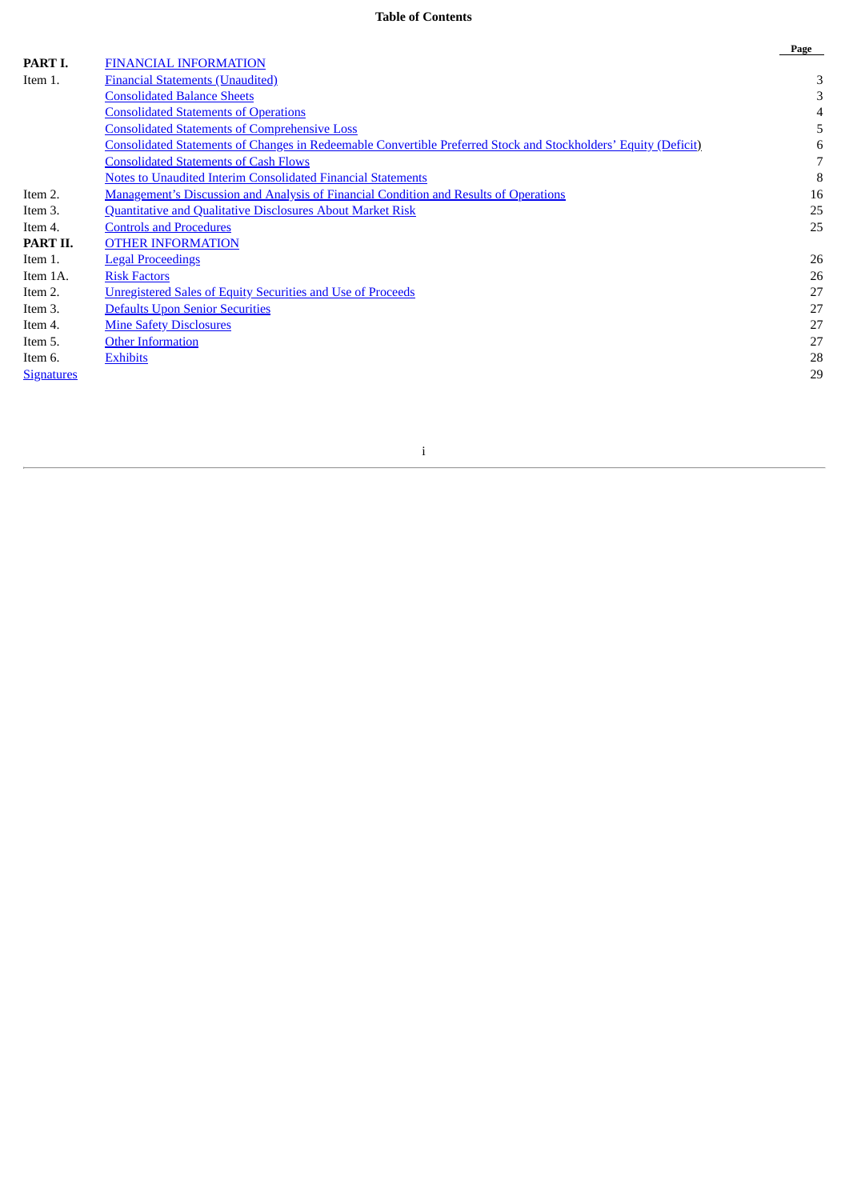### **Table of Contents**

|                   |                                                                                                                 | Page |
|-------------------|-----------------------------------------------------------------------------------------------------------------|------|
| PART I.           | <b>FINANCIAL INFORMATION</b>                                                                                    |      |
| Item 1.           | <b>Financial Statements (Unaudited)</b>                                                                         | 3    |
|                   | <b>Consolidated Balance Sheets</b>                                                                              | 3    |
|                   | <b>Consolidated Statements of Operations</b>                                                                    |      |
|                   | <b>Consolidated Statements of Comprehensive Loss</b>                                                            | 5    |
|                   | Consolidated Statements of Changes in Redeemable Convertible Preferred Stock and Stockholders' Equity (Deficit) | 6    |
|                   | <b>Consolidated Statements of Cash Flows</b>                                                                    |      |
|                   | Notes to Unaudited Interim Consolidated Financial Statements                                                    | 8    |
| Item 2.           | <b>Management's Discussion and Analysis of Financial Condition and Results of Operations</b>                    | 16   |
| Item 3.           | <b>Quantitative and Qualitative Disclosures About Market Risk</b>                                               | 25   |
| Item 4.           | <b>Controls and Procedures</b>                                                                                  | 25   |
| PART II.          | <b>OTHER INFORMATION</b>                                                                                        |      |
| Item 1.           | <b>Legal Proceedings</b>                                                                                        | 26   |
| Item 1A.          | <b>Risk Factors</b>                                                                                             | 26   |
| Item 2.           | Unregistered Sales of Equity Securities and Use of Proceeds                                                     | 27   |
| Item 3.           | <b>Defaults Upon Senior Securities</b>                                                                          | 27   |
| Item 4.           | <b>Mine Safety Disclosures</b>                                                                                  | 27   |
| Item 5.           | <b>Other Information</b>                                                                                        | 27   |
| Item 6.           | <b>Exhibits</b>                                                                                                 | 28   |
| <b>Signatures</b> |                                                                                                                 | 29   |

i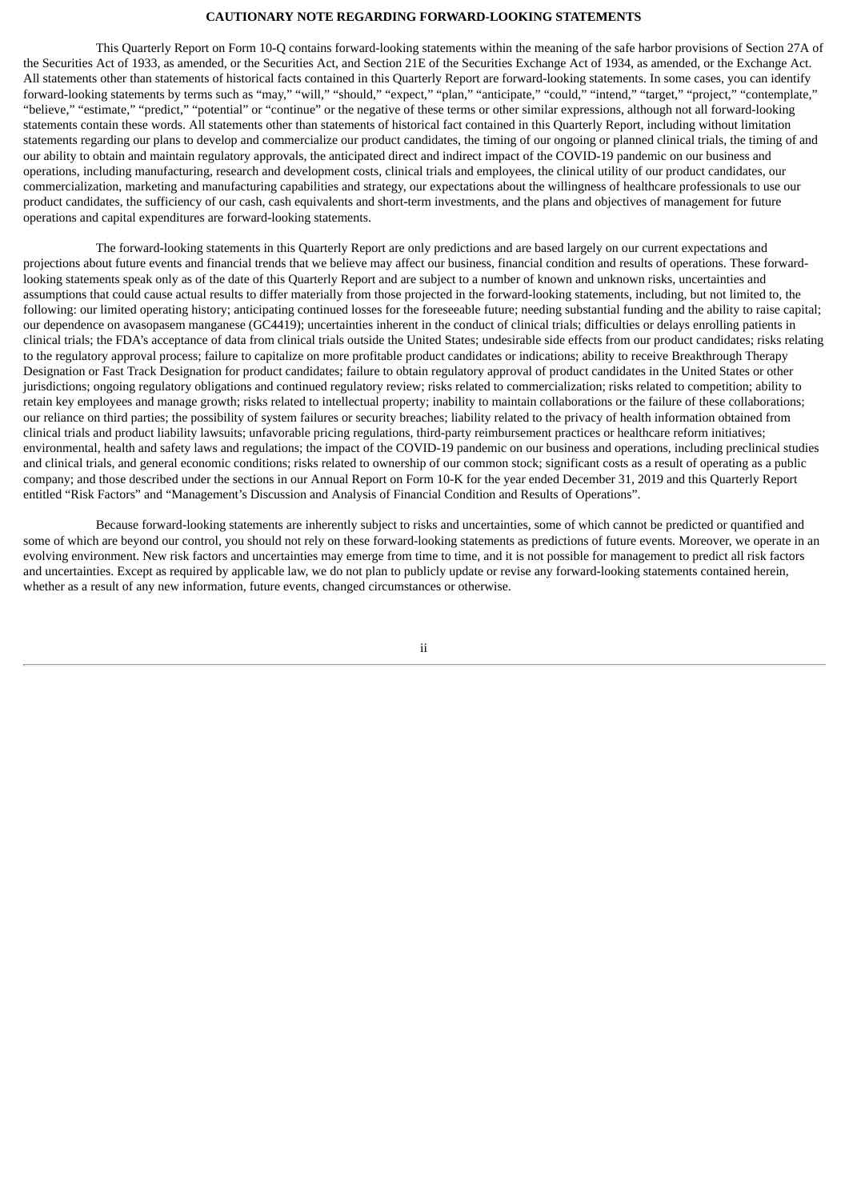#### **CAUTIONARY NOTE REGARDING FORWARD-LOOKING STATEMENTS**

This Quarterly Report on Form 10-Q contains forward-looking statements within the meaning of the safe harbor provisions of Section 27A of the Securities Act of 1933, as amended, or the Securities Act, and Section 21E of the Securities Exchange Act of 1934, as amended, or the Exchange Act. All statements other than statements of historical facts contained in this Quarterly Report are forward-looking statements. In some cases, you can identify forward-looking statements by terms such as "may," "will," "should," "expect," "plan," "anticipate," "could," "intend," "target," "project," "contemplate," "believe," "estimate," "predict," "potential" or "continue" or the negative of these terms or other similar expressions, although not all forward-looking statements contain these words. All statements other than statements of historical fact contained in this Quarterly Report, including without limitation statements regarding our plans to develop and commercialize our product candidates, the timing of our ongoing or planned clinical trials, the timing of and our ability to obtain and maintain regulatory approvals, the anticipated direct and indirect impact of the COVID-19 pandemic on our business and operations, including manufacturing, research and development costs, clinical trials and employees, the clinical utility of our product candidates, our commercialization, marketing and manufacturing capabilities and strategy, our expectations about the willingness of healthcare professionals to use our product candidates, the sufficiency of our cash, cash equivalents and short-term investments, and the plans and objectives of management for future operations and capital expenditures are forward-looking statements.

The forward-looking statements in this Quarterly Report are only predictions and are based largely on our current expectations and projections about future events and financial trends that we believe may affect our business, financial condition and results of operations. These forwardlooking statements speak only as of the date of this Quarterly Report and are subject to a number of known and unknown risks, uncertainties and assumptions that could cause actual results to differ materially from those projected in the forward-looking statements, including, but not limited to, the following: our limited operating history; anticipating continued losses for the foreseeable future; needing substantial funding and the ability to raise capital; our dependence on avasopasem manganese (GC4419); uncertainties inherent in the conduct of clinical trials; difficulties or delays enrolling patients in clinical trials; the FDA's acceptance of data from clinical trials outside the United States; undesirable side effects from our product candidates; risks relating to the regulatory approval process; failure to capitalize on more profitable product candidates or indications; ability to receive Breakthrough Therapy Designation or Fast Track Designation for product candidates; failure to obtain regulatory approval of product candidates in the United States or other jurisdictions; ongoing regulatory obligations and continued regulatory review; risks related to commercialization; risks related to competition; ability to retain key employees and manage growth; risks related to intellectual property; inability to maintain collaborations or the failure of these collaborations; our reliance on third parties; the possibility of system failures or security breaches; liability related to the privacy of health information obtained from clinical trials and product liability lawsuits; unfavorable pricing regulations, third-party reimbursement practices or healthcare reform initiatives; environmental, health and safety laws and regulations; the impact of the COVID-19 pandemic on our business and operations, including preclinical studies and clinical trials, and general economic conditions; risks related to ownership of our common stock; significant costs as a result of operating as a public company; and those described under the sections in our Annual Report on Form 10-K for the year ended December 31, 2019 and this Quarterly Report entitled "Risk Factors" and "Management's Discussion and Analysis of Financial Condition and Results of Operations".

Because forward-looking statements are inherently subject to risks and uncertainties, some of which cannot be predicted or quantified and some of which are beyond our control, you should not rely on these forward-looking statements as predictions of future events. Moreover, we operate in an evolving environment. New risk factors and uncertainties may emerge from time to time, and it is not possible for management to predict all risk factors and uncertainties. Except as required by applicable law, we do not plan to publicly update or revise any forward-looking statements contained herein, whether as a result of any new information, future events, changed circumstances or otherwise.

ii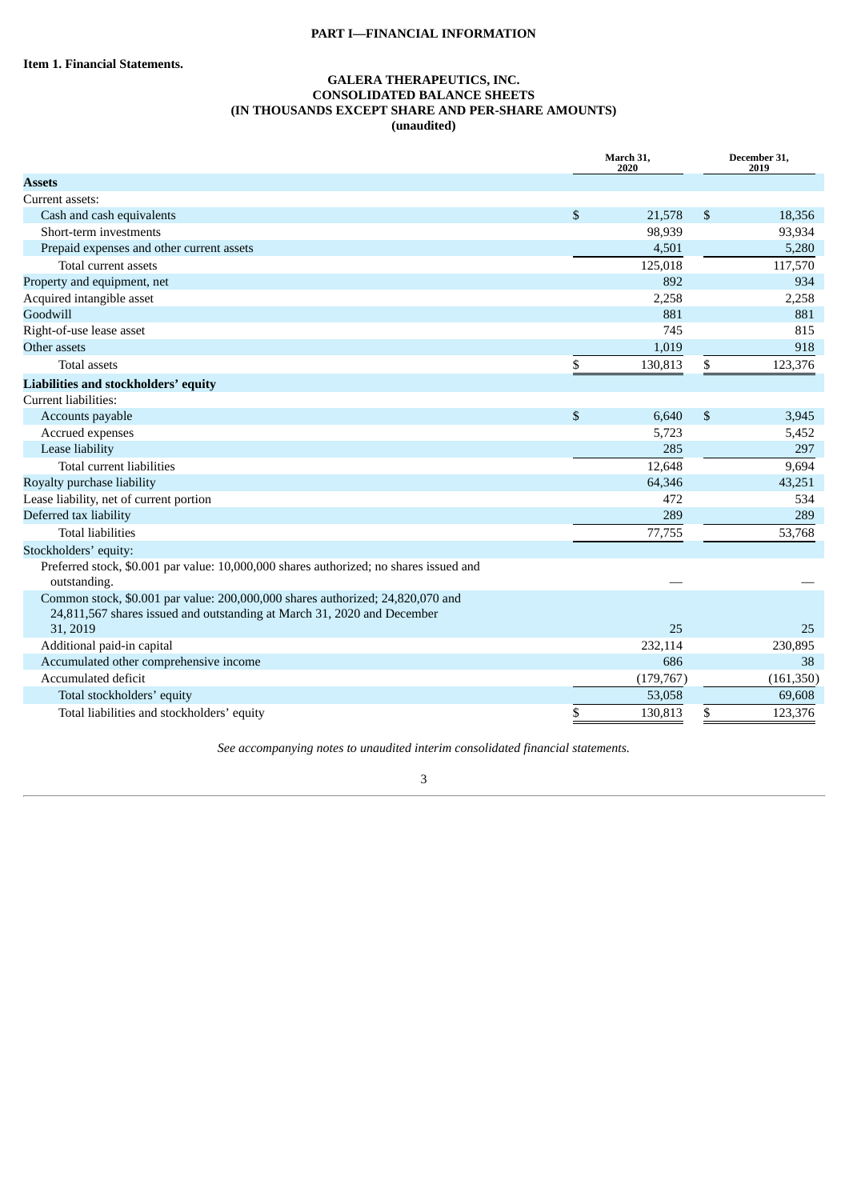#### **PART I—FINANCIAL INFORMATION**

#### **GALERA THERAPEUTICS, INC. CONSOLIDATED BALANCE SHEETS (IN THOUSANDS EXCEPT SHARE AND PER-SHARE AMOUNTS) (unaudited)**

<span id="page-3-1"></span><span id="page-3-0"></span>

|                                                                                        |              | March 31,<br>2020 | December 31,<br>2019 |           |  |
|----------------------------------------------------------------------------------------|--------------|-------------------|----------------------|-----------|--|
| <b>Assets</b>                                                                          |              |                   |                      |           |  |
| Current assets:                                                                        |              |                   |                      |           |  |
| Cash and cash equivalents                                                              | \$           | 21,578            | \$                   | 18,356    |  |
| Short-term investments                                                                 |              | 98,939            |                      | 93,934    |  |
| Prepaid expenses and other current assets                                              |              | 4,501             |                      | 5,280     |  |
| Total current assets                                                                   |              | 125,018           |                      | 117,570   |  |
| Property and equipment, net                                                            |              | 892               |                      | 934       |  |
| Acquired intangible asset                                                              |              | 2,258             |                      | 2,258     |  |
| Goodwill                                                                               |              | 881               |                      | 881       |  |
| Right-of-use lease asset                                                               |              | 745               |                      | 815       |  |
| Other assets                                                                           |              | 1,019             |                      | 918       |  |
| <b>Total assets</b>                                                                    | \$           | 130,813           | \$                   | 123,376   |  |
| Liabilities and stockholders' equity                                                   |              |                   |                      |           |  |
| Current liabilities:                                                                   |              |                   |                      |           |  |
| Accounts payable                                                                       | $\mathbb{S}$ | 6,640             | \$                   | 3,945     |  |
| Accrued expenses                                                                       |              | 5,723             |                      | 5,452     |  |
| Lease liability                                                                        |              | 285               |                      | 297       |  |
| Total current liabilities                                                              |              | 12,648            |                      | 9,694     |  |
| Royalty purchase liability                                                             |              | 64,346            |                      | 43,251    |  |
| Lease liability, net of current portion                                                |              | 472               |                      | 534       |  |
| Deferred tax liability                                                                 |              | 289               |                      | 289       |  |
| <b>Total liabilities</b>                                                               |              | 77,755            |                      | 53,768    |  |
| Stockholders' equity:                                                                  |              |                   |                      |           |  |
| Preferred stock, \$0.001 par value: 10,000,000 shares authorized; no shares issued and |              |                   |                      |           |  |
| outstanding.                                                                           |              |                   |                      |           |  |
| Common stock, \$0.001 par value: 200,000,000 shares authorized; 24,820,070 and         |              |                   |                      |           |  |
| 24,811,567 shares issued and outstanding at March 31, 2020 and December                |              |                   |                      |           |  |
| 31, 2019                                                                               |              | 25                |                      | 25        |  |
| Additional paid-in capital                                                             |              | 232,114           |                      | 230,895   |  |
| Accumulated other comprehensive income                                                 |              | 686               |                      | 38        |  |
| Accumulated deficit                                                                    |              | (179, 767)        |                      | (161,350) |  |
| Total stockholders' equity                                                             |              | 53,058            |                      | 69,608    |  |
| Total liabilities and stockholders' equity                                             | \$           | 130,813           | \$                   | 123,376   |  |

*See accompanying notes to unaudited interim consolidated financial statements.*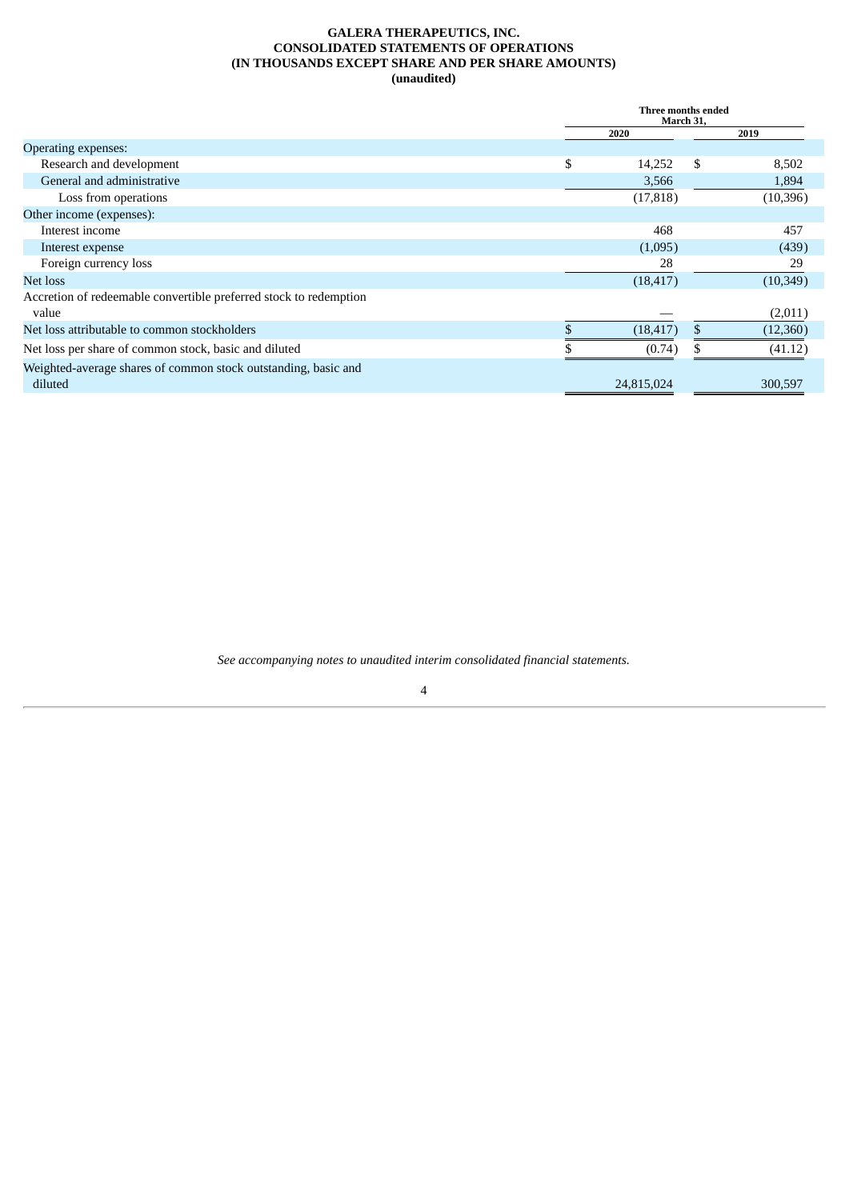#### **GALERA THERAPEUTICS, INC. CONSOLIDATED STATEMENTS OF OPERATIONS (IN THOUSANDS EXCEPT SHARE AND PER SHARE AMOUNTS) (unaudited)**

<span id="page-4-0"></span>

|                                                                           | Three months ended<br>March 31, |    |           |  |
|---------------------------------------------------------------------------|---------------------------------|----|-----------|--|
|                                                                           | 2020                            |    | 2019      |  |
| <b>Operating expenses:</b>                                                |                                 |    |           |  |
| Research and development                                                  | \$<br>14,252                    | \$ | 8,502     |  |
| General and administrative                                                | 3,566                           |    | 1,894     |  |
| Loss from operations                                                      | (17, 818)                       |    | (10, 396) |  |
| Other income (expenses):                                                  |                                 |    |           |  |
| Interest income                                                           | 468                             |    | 457       |  |
| Interest expense                                                          | (1,095)                         |    | (439)     |  |
| Foreign currency loss                                                     | 28                              |    | 29        |  |
| Net loss                                                                  | (18, 417)                       |    | (10, 349) |  |
| Accretion of redeemable convertible preferred stock to redemption         |                                 |    |           |  |
| value                                                                     |                                 |    | (2,011)   |  |
| Net loss attributable to common stockholders                              | (18, 417)                       |    | (12,360)  |  |
| Net loss per share of common stock, basic and diluted                     | (0.74)                          |    | (41.12)   |  |
| Weighted-average shares of common stock outstanding, basic and<br>diluted | 24,815,024                      |    | 300,597   |  |

*See accompanying notes to unaudited interim consolidated financial statements.*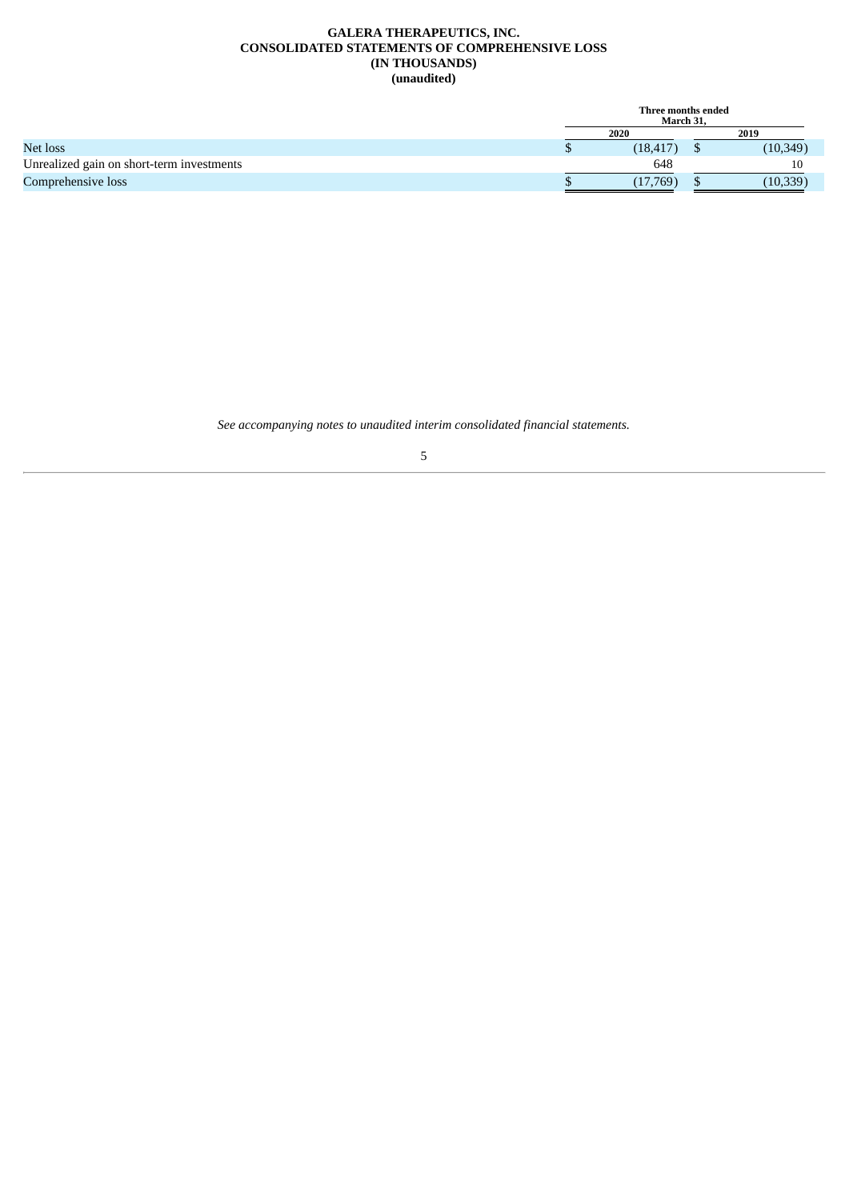#### **GALERA THERAPEUTICS, INC. CONSOLIDATED STATEMENTS OF COMPREHENSIVE LOSS (IN THOUSANDS) (unaudited)**

<span id="page-5-0"></span>

|                                           |      | Three months ended<br>March 31, |  |           |  |
|-------------------------------------------|------|---------------------------------|--|-----------|--|
|                                           | 2020 |                                 |  | 2019      |  |
| Net loss                                  |      | (18, 417)                       |  | (10, 349) |  |
| Unrealized gain on short-term investments |      | 648                             |  | 10        |  |
| Comprehensive loss                        |      | (17,769)                        |  | (10,339)  |  |

*See accompanying notes to unaudited interim consolidated financial statements.*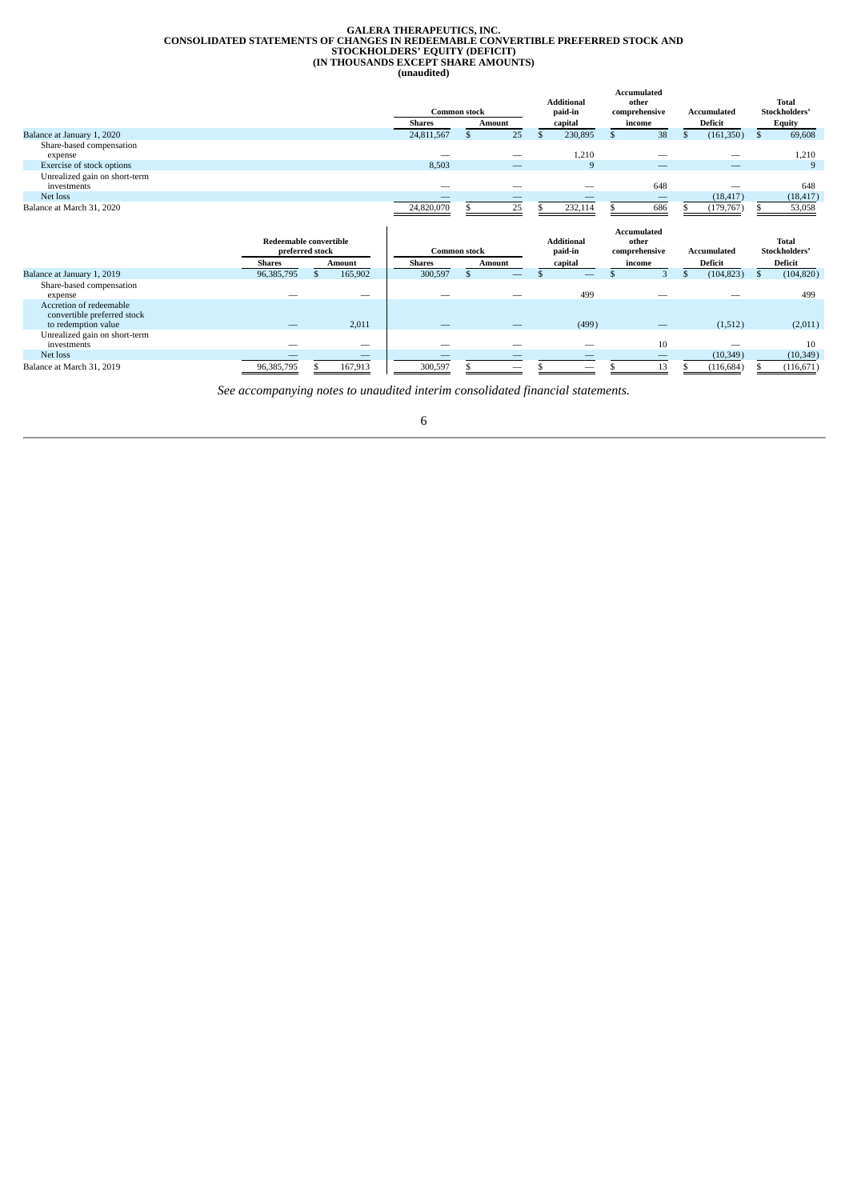# GALERA THERAPEUTICS, INC.<br>CONSOLIDATED STATEMENTS OF CHANGES IN REDEEMABLE CONVERTIBLE PREFERRED STOCK AND<br>STOCKHOLDERS' EQUITY (DEFICIT)<br>(IN THOUSANDS EXCEPT SHARE AMOUNTS)<br>unaudited)

<span id="page-6-0"></span>

|                                                                               |                                                  |               |                     |                    |                          | <b>Additional</b>            |              | <b>Accumulated</b><br>other                  |              |                          |              | <b>Total</b>                  |
|-------------------------------------------------------------------------------|--------------------------------------------------|---------------|---------------------|--------------------|--------------------------|------------------------------|--------------|----------------------------------------------|--------------|--------------------------|--------------|-------------------------------|
|                                                                               |                                                  |               | <b>Common stock</b> |                    |                          | paid-in                      |              | comprehensive                                |              | Accumulated              |              | Stockholders'                 |
|                                                                               |                                                  |               | <b>Shares</b>       |                    | <b>Amount</b>            | capital                      |              | income                                       |              | <b>Deficit</b>           |              | Equity                        |
| Balance at January 1, 2020                                                    |                                                  |               | 24,811,567          | $\mathbf{s}$       | 25                       | \$<br>230,895                | $\mathbf{s}$ | 38                                           | \$           | (161,350)                | \$           | 69,608                        |
| Share-based compensation<br>expense                                           |                                                  |               |                     |                    |                          | 1,210                        |              |                                              |              |                          |              | 1,210                         |
| Exercise of stock options                                                     |                                                  |               | 8,503               |                    | $\overline{\phantom{a}}$ | 9                            |              |                                              |              | $\overline{\phantom{a}}$ |              | 9                             |
| Unrealized gain on short-term<br>investments                                  |                                                  |               | -                   |                    |                          |                              |              | 648                                          |              |                          |              | 648                           |
| Net loss                                                                      |                                                  |               |                     |                    |                          | _                            |              |                                              |              | (18, 417)                |              | (18, 417)                     |
| Balance at March 31, 2020                                                     |                                                  |               | 24,820,070          |                    | 25                       | 232,114                      |              | 686                                          |              | (179, 767)               |              | 53,058                        |
|                                                                               | <b>Redeemable convertible</b><br>preferred stock |               | <b>Common stock</b> |                    |                          | <b>Additional</b><br>paid-in |              | <b>Accumulated</b><br>other<br>comprehensive |              | Accumulated              |              | <b>Total</b><br>Stockholders' |
|                                                                               | <b>Shares</b>                                    | <b>Amount</b> | <b>Shares</b>       |                    | <b>Amount</b>            | capital                      |              | income                                       |              | Deficit                  |              | <b>Deficit</b>                |
| Balance at January 1, 2019                                                    | 96,385,795                                       | \$<br>165,902 | 300,597             | $\mathbf{\hat{s}}$ |                          |                              |              | 3                                            | $\mathbf{s}$ | (104, 823)               | $\mathbf{s}$ | (104, 820)                    |
| Share-based compensation<br>expense                                           |                                                  |               |                     |                    |                          | 499                          |              |                                              |              |                          |              | 499                           |
| Accretion of redeemable<br>convertible preferred stock<br>to redemption value |                                                  | 2,011         |                     |                    |                          | (499)                        |              |                                              |              | (1,512)                  |              | (2,011)                       |
|                                                                               |                                                  |               |                     |                    |                          |                              |              |                                              |              |                          |              |                               |
| Unrealized gain on short-term<br>investments                                  |                                                  |               |                     |                    |                          |                              |              | 10                                           |              | -                        |              | 10                            |
| Net loss                                                                      |                                                  | _             |                     |                    |                          |                              |              | $\overline{\phantom{a}}$                     |              | (10, 349)                |              | (10, 349)                     |

*See accompanying notes to unaudited interim consolidated financial statements.*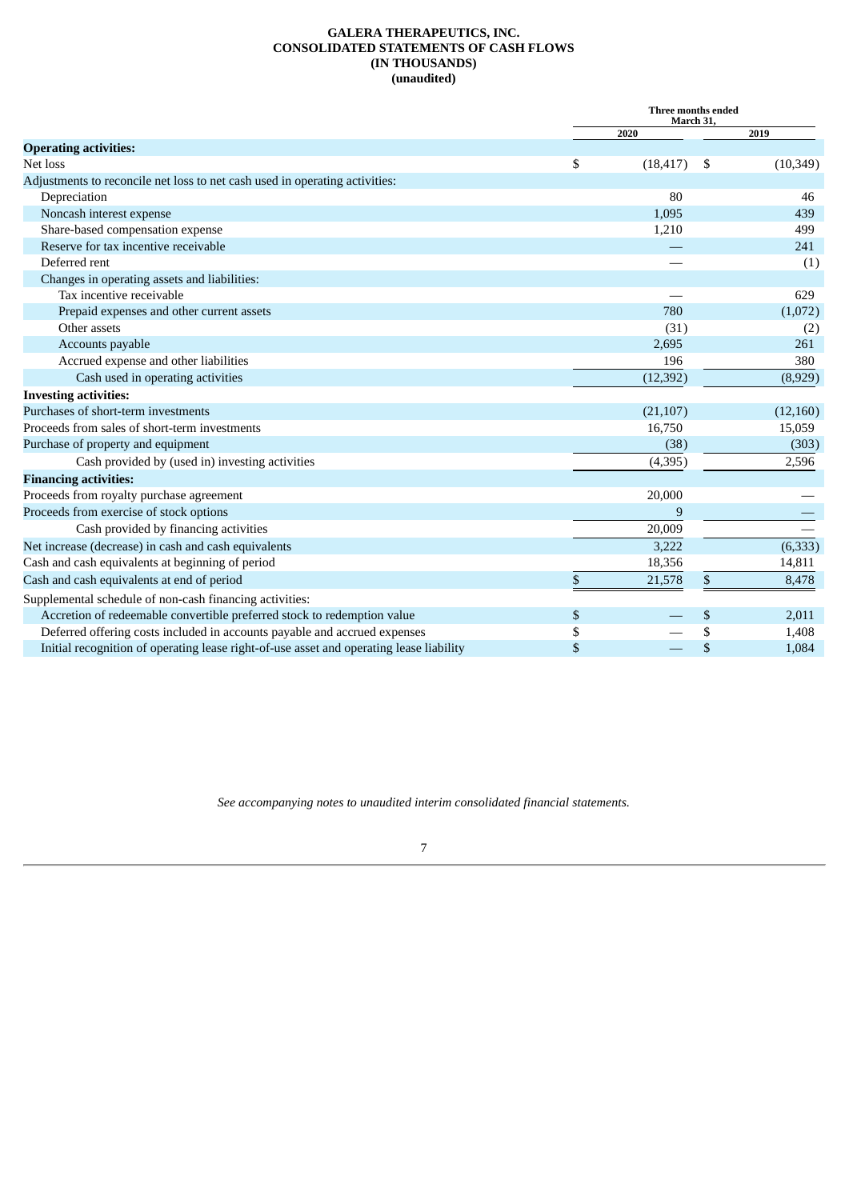#### **GALERA THERAPEUTICS, INC. CONSOLIDATED STATEMENTS OF CASH FLOWS (IN THOUSANDS) (unaudited)**

<span id="page-7-0"></span>

|                                                                                         | Three months ended<br>March 31, |           |    |           |
|-----------------------------------------------------------------------------------------|---------------------------------|-----------|----|-----------|
|                                                                                         |                                 | 2020      |    | 2019      |
| <b>Operating activities:</b>                                                            |                                 |           |    |           |
| Net loss                                                                                | \$                              | (18, 417) | \$ | (10, 349) |
| Adjustments to reconcile net loss to net cash used in operating activities:             |                                 |           |    |           |
| Depreciation                                                                            |                                 | 80        |    | 46        |
| Noncash interest expense                                                                |                                 | 1,095     |    | 439       |
| Share-based compensation expense                                                        |                                 | 1,210     |    | 499       |
| Reserve for tax incentive receivable                                                    |                                 |           |    | 241       |
| Deferred rent                                                                           |                                 |           |    | (1)       |
| Changes in operating assets and liabilities:                                            |                                 |           |    |           |
| Tax incentive receivable                                                                |                                 |           |    | 629       |
| Prepaid expenses and other current assets                                               |                                 | 780       |    | (1,072)   |
| Other assets                                                                            |                                 | (31)      |    | (2)       |
| Accounts payable                                                                        |                                 | 2,695     |    | 261       |
| Accrued expense and other liabilities                                                   |                                 | 196       |    | 380       |
| Cash used in operating activities                                                       |                                 | (12, 392) |    | (8,929)   |
| <b>Investing activities:</b>                                                            |                                 |           |    |           |
| Purchases of short-term investments                                                     |                                 | (21, 107) |    | (12, 160) |
| Proceeds from sales of short-term investments                                           |                                 | 16,750    |    | 15,059    |
| Purchase of property and equipment                                                      |                                 | (38)      |    | (303)     |
| Cash provided by (used in) investing activities                                         |                                 | (4, 395)  |    | 2,596     |
| <b>Financing activities:</b>                                                            |                                 |           |    |           |
| Proceeds from royalty purchase agreement                                                |                                 | 20,000    |    |           |
| Proceeds from exercise of stock options                                                 |                                 | 9         |    |           |
| Cash provided by financing activities                                                   |                                 | 20,009    |    |           |
| Net increase (decrease) in cash and cash equivalents                                    |                                 | 3,222     |    | (6, 333)  |
| Cash and cash equivalents at beginning of period                                        |                                 | 18,356    |    | 14,811    |
| Cash and cash equivalents at end of period                                              | \$                              | 21,578    | \$ | 8,478     |
| Supplemental schedule of non-cash financing activities:                                 |                                 |           |    |           |
| Accretion of redeemable convertible preferred stock to redemption value                 | \$                              |           | \$ | 2,011     |
| Deferred offering costs included in accounts payable and accrued expenses               | \$                              |           | \$ | 1,408     |
| Initial recognition of operating lease right-of-use asset and operating lease liability | \$                              |           | \$ | 1,084     |

*See accompanying notes to unaudited interim consolidated financial statements.*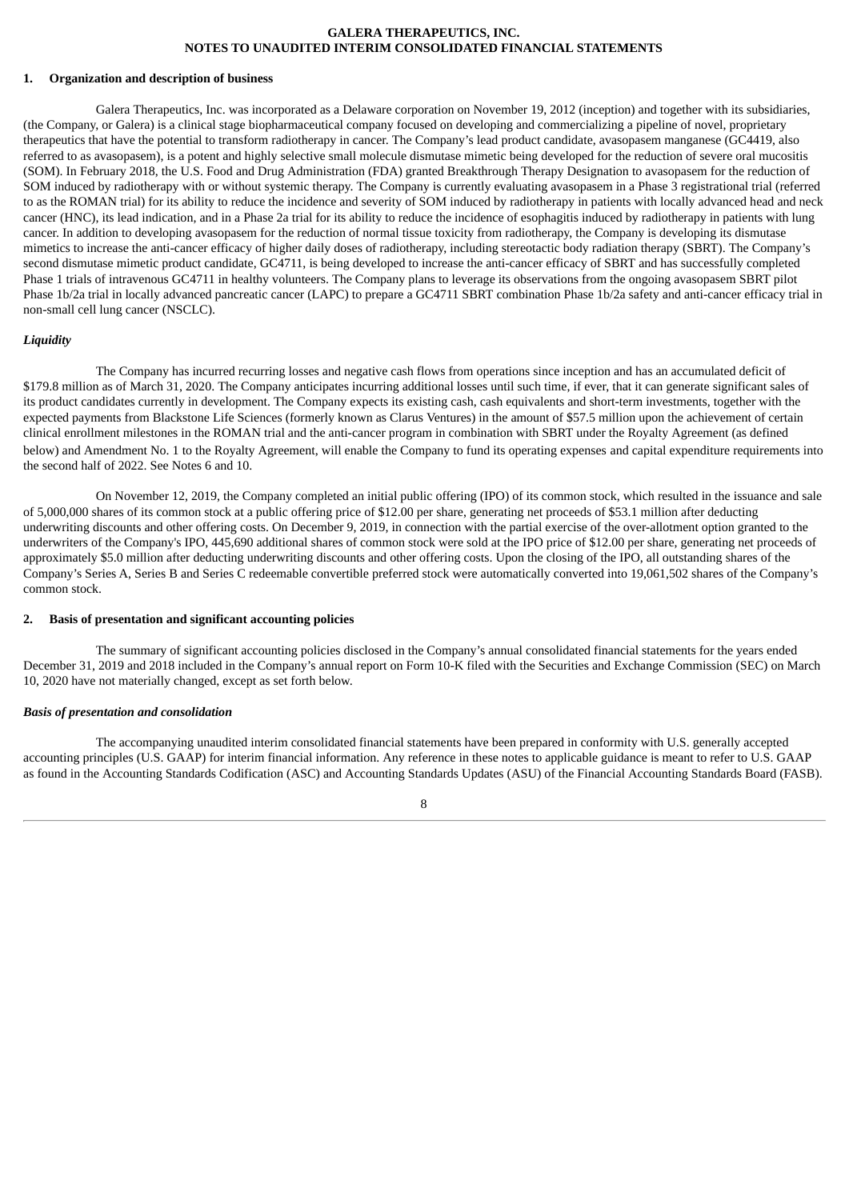#### <span id="page-8-0"></span>**1. Organization and description of business**

Galera Therapeutics, Inc. was incorporated as a Delaware corporation on November 19, 2012 (inception) and together with its subsidiaries, (the Company, or Galera) is a clinical stage biopharmaceutical company focused on developing and commercializing a pipeline of novel, proprietary therapeutics that have the potential to transform radiotherapy in cancer. The Company's lead product candidate, avasopasem manganese (GC4419, also referred to as avasopasem), is a potent and highly selective small molecule dismutase mimetic being developed for the reduction of severe oral mucositis (SOM). In February 2018, the U.S. Food and Drug Administration (FDA) granted Breakthrough Therapy Designation to avasopasem for the reduction of SOM induced by radiotherapy with or without systemic therapy. The Company is currently evaluating avasopasem in a Phase 3 registrational trial (referred to as the ROMAN trial) for its ability to reduce the incidence and severity of SOM induced by radiotherapy in patients with locally advanced head and neck cancer (HNC), its lead indication, and in a Phase 2a trial for its ability to reduce the incidence of esophagitis induced by radiotherapy in patients with lung cancer. In addition to developing avasopasem for the reduction of normal tissue toxicity from radiotherapy, the Company is developing its dismutase mimetics to increase the anti-cancer efficacy of higher daily doses of radiotherapy, including stereotactic body radiation therapy (SBRT). The Company's second dismutase mimetic product candidate, GC4711, is being developed to increase the anti-cancer efficacy of SBRT and has successfully completed Phase 1 trials of intravenous GC4711 in healthy volunteers. The Company plans to leverage its observations from the ongoing avasopasem SBRT pilot Phase 1b/2a trial in locally advanced pancreatic cancer (LAPC) to prepare a GC4711 SBRT combination Phase 1b/2a safety and anti-cancer efficacy trial in non-small cell lung cancer (NSCLC).

#### *Liquidity*

The Company has incurred recurring losses and negative cash flows from operations since inception and has an accumulated deficit of \$179.8 million as of March 31, 2020. The Company anticipates incurring additional losses until such time, if ever, that it can generate significant sales of its product candidates currently in development. The Company expects its existing cash, cash equivalents and short-term investments, together with the expected payments from Blackstone Life Sciences (formerly known as Clarus Ventures) in the amount of \$57.5 million upon the achievement of certain clinical enrollment milestones in the ROMAN trial and the anti-cancer program in combination with SBRT under the Royalty Agreement (as defined below) and Amendment No. 1 to the Royalty Agreement, will enable the Company to fund its operating expenses and capital expenditure requirements into the second half of 2022. See Notes 6 and 10.

On November 12, 2019, the Company completed an initial public offering (IPO) of its common stock, which resulted in the issuance and sale of 5,000,000 shares of its common stock at a public offering price of \$12.00 per share, generating net proceeds of \$53.1 million after deducting underwriting discounts and other offering costs. On December 9, 2019, in connection with the partial exercise of the over-allotment option granted to the underwriters of the Company's IPO, 445,690 additional shares of common stock were sold at the IPO price of \$12.00 per share, generating net proceeds of approximately \$5.0 million after deducting underwriting discounts and other offering costs. Upon the closing of the IPO, all outstanding shares of the Company's Series A, Series B and Series C redeemable convertible preferred stock were automatically converted into 19,061,502 shares of the Company's common stock.

#### **2. Basis of presentation and significant accounting policies**

The summary of significant accounting policies disclosed in the Company's annual consolidated financial statements for the years ended December 31, 2019 and 2018 included in the Company's annual report on Form 10-K filed with the Securities and Exchange Commission (SEC) on March 10, 2020 have not materially changed, except as set forth below.

#### *Basis of presentation and consolidation*

The accompanying unaudited interim consolidated financial statements have been prepared in conformity with U.S. generally accepted accounting principles (U.S. GAAP) for interim financial information. Any reference in these notes to applicable guidance is meant to refer to U.S. GAAP as found in the Accounting Standards Codification (ASC) and Accounting Standards Updates (ASU) of the Financial Accounting Standards Board (FASB).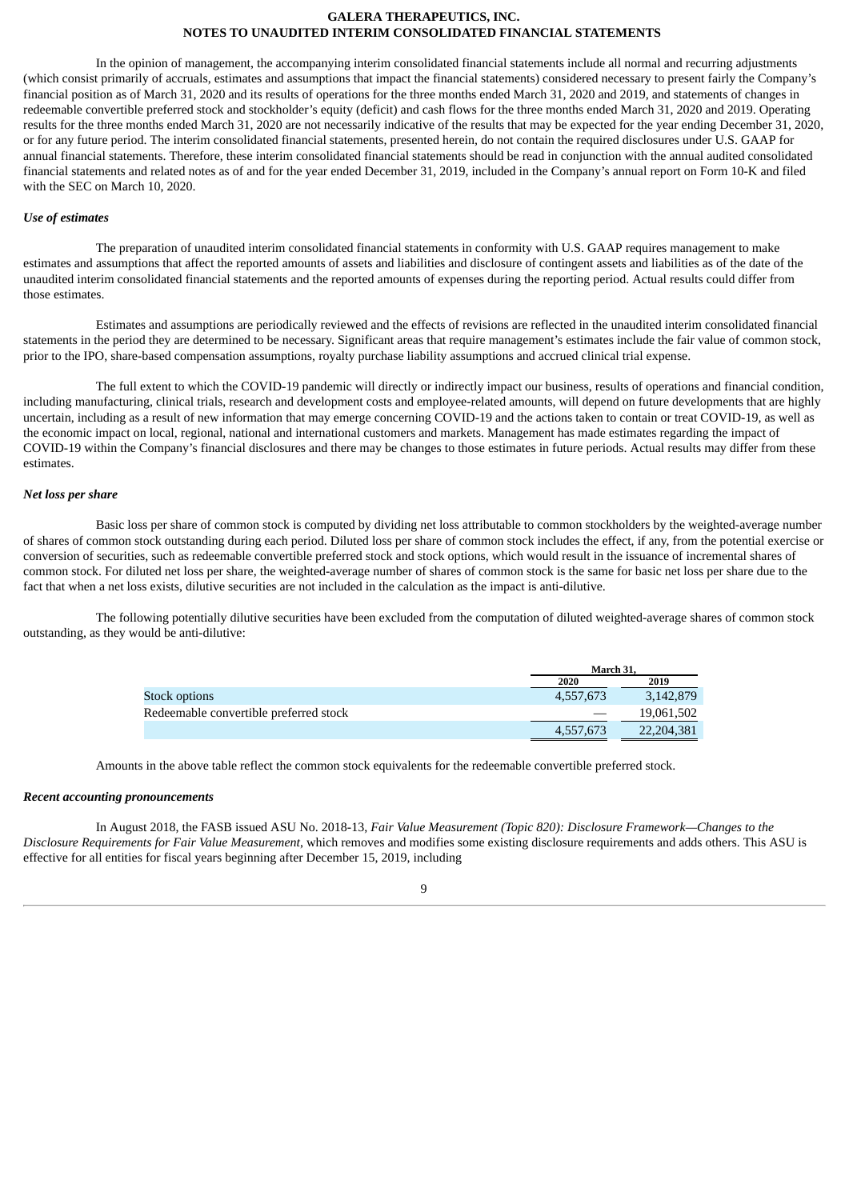In the opinion of management, the accompanying interim consolidated financial statements include all normal and recurring adjustments (which consist primarily of accruals, estimates and assumptions that impact the financial statements) considered necessary to present fairly the Company's financial position as of March 31, 2020 and its results of operations for the three months ended March 31, 2020 and 2019, and statements of changes in redeemable convertible preferred stock and stockholder's equity (deficit) and cash flows for the three months ended March 31, 2020 and 2019. Operating results for the three months ended March 31, 2020 are not necessarily indicative of the results that may be expected for the year ending December 31, 2020, or for any future period. The interim consolidated financial statements, presented herein, do not contain the required disclosures under U.S. GAAP for annual financial statements. Therefore, these interim consolidated financial statements should be read in conjunction with the annual audited consolidated financial statements and related notes as of and for the year ended December 31, 2019, included in the Company's annual report on Form 10-K and filed with the SEC on March 10, 2020.

#### *Use of estimates*

The preparation of unaudited interim consolidated financial statements in conformity with U.S. GAAP requires management to make estimates and assumptions that affect the reported amounts of assets and liabilities and disclosure of contingent assets and liabilities as of the date of the unaudited interim consolidated financial statements and the reported amounts of expenses during the reporting period. Actual results could differ from those estimates.

Estimates and assumptions are periodically reviewed and the effects of revisions are reflected in the unaudited interim consolidated financial statements in the period they are determined to be necessary. Significant areas that require management's estimates include the fair value of common stock, prior to the IPO, share-based compensation assumptions, royalty purchase liability assumptions and accrued clinical trial expense.

The full extent to which the COVID-19 pandemic will directly or indirectly impact our business, results of operations and financial condition, including manufacturing, clinical trials, research and development costs and employee-related amounts, will depend on future developments that are highly uncertain, including as a result of new information that may emerge concerning COVID-19 and the actions taken to contain or treat COVID-19, as well as the economic impact on local, regional, national and international customers and markets. Management has made estimates regarding the impact of COVID-19 within the Company's financial disclosures and there may be changes to those estimates in future periods. Actual results may differ from these estimates.

#### *Net loss per share*

Basic loss per share of common stock is computed by dividing net loss attributable to common stockholders by the weighted-average number of shares of common stock outstanding during each period. Diluted loss per share of common stock includes the effect, if any, from the potential exercise or conversion of securities, such as redeemable convertible preferred stock and stock options, which would result in the issuance of incremental shares of common stock. For diluted net loss per share, the weighted-average number of shares of common stock is the same for basic net loss per share due to the fact that when a net loss exists, dilutive securities are not included in the calculation as the impact is anti-dilutive.

The following potentially dilutive securities have been excluded from the computation of diluted weighted-average shares of common stock outstanding, as they would be anti-dilutive:

|                                        | March 31, |            |  |  |
|----------------------------------------|-----------|------------|--|--|
|                                        | 2020      | 2019       |  |  |
| Stock options                          | 4,557,673 | 3,142,879  |  |  |
| Redeemable convertible preferred stock |           | 19,061,502 |  |  |
|                                        | 4,557,673 | 22.204.381 |  |  |

Amounts in the above table reflect the common stock equivalents for the redeemable convertible preferred stock.

#### *Recent accounting pronouncements*

In August 2018, the FASB issued ASU No. 2018-13, *Fair Value Measurement (Topic 820): Disclosure Framework—Changes to the Disclosure Requirements for Fair Value Measurement*, which removes and modifies some existing disclosure requirements and adds others. This ASU is effective for all entities for fiscal years beginning after December 15, 2019, including

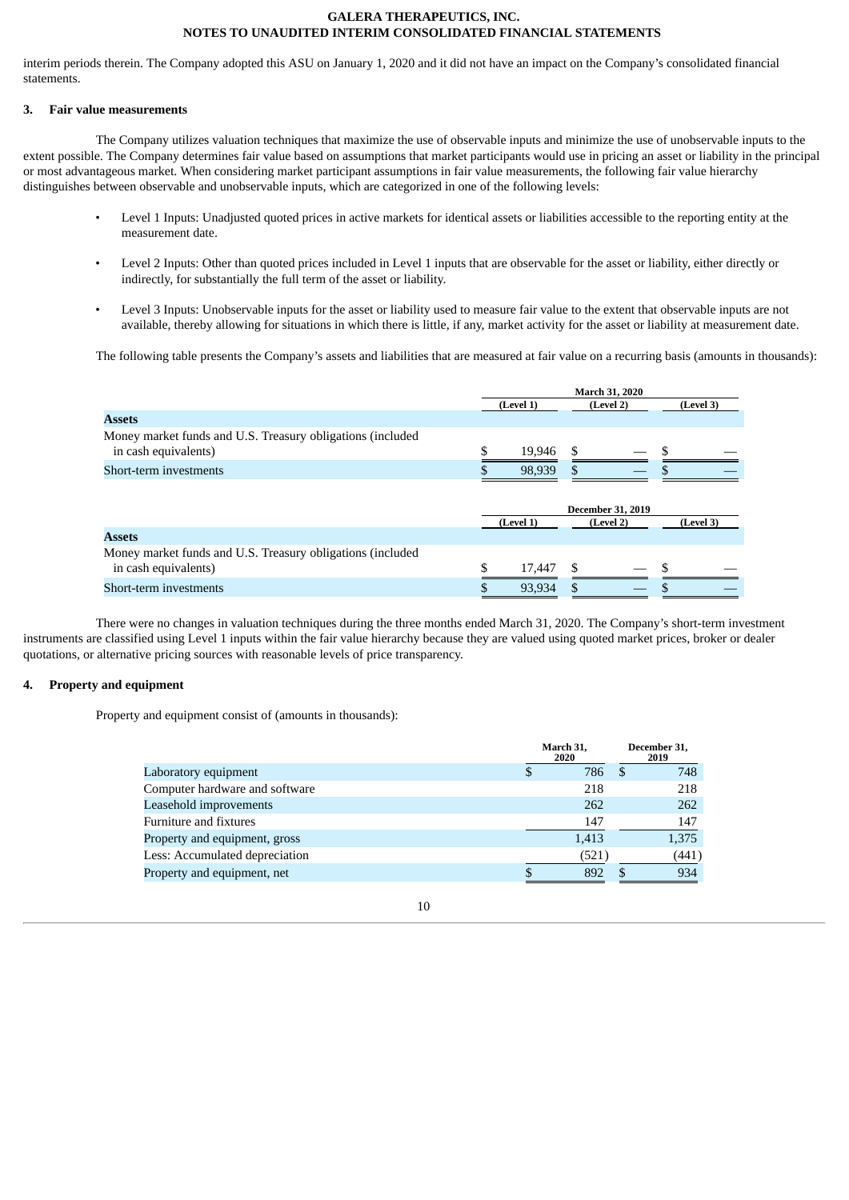interim periods therein. The Company adopted this ASU on January 1, 2020 and it did not have an impact on the Company's consolidated financial statements.

#### **3. Fair value measurements**

The Company utilizes valuation techniques that maximize the use of observable inputs and minimize the use of unobservable inputs to the extent possible. The Company determines fair value based on assumptions that market participants would use in pricing an asset or liability in the principal or most advantageous market. When considering market participant assumptions in fair value measurements, the following fair value hierarchy distinguishes between observable and unobservable inputs, which are categorized in one of the following levels:

- Level 1 Inputs: Unadjusted quoted prices in active markets for identical assets or liabilities accessible to the reporting entity at the measurement date.
- Level 2 Inputs: Other than quoted prices included in Level 1 inputs that are observable for the asset or liability, either directly or indirectly, for substantially the full term of the asset or liability.
- Level 3 Inputs: Unobservable inputs for the asset or liability used to measure fair value to the extent that observable inputs are not available, thereby allowing for situations in which there is little, if any, market activity for the asset or liability at measurement date.

The following table presents the Company's assets and liabilities that are measured at fair value on a recurring basis (amounts in thousands):

|                                                                                    | (Level 1) |           |     | March 31, 2020<br>(Level 2)           | (Level 3) |
|------------------------------------------------------------------------------------|-----------|-----------|-----|---------------------------------------|-----------|
| <b>Assets</b>                                                                      |           |           |     |                                       |           |
| Money market funds and U.S. Treasury obligations (included<br>in cash equivalents) | \$        | 19,946    | \$. |                                       |           |
| Short-term investments                                                             |           | 98,939    |     |                                       |           |
|                                                                                    |           | (Level 1) |     | <b>December 31, 2019</b><br>(Level 2) | (Level 3) |
| <b>Assets</b>                                                                      |           |           |     |                                       |           |
| Money market funds and U.S. Treasury obligations (included<br>in cash equivalents) | \$        | 17.447    | \$. |                                       |           |
| Short-term investments                                                             | \$        | 93,934    | S   |                                       |           |

There were no changes in valuation techniques during the three months ended March 31, 2020. The Company's short-term investment instruments are classified using Level 1 inputs within the fair value hierarchy because they are valued using quoted market prices, broker or dealer quotations, or alternative pricing sources with reasonable levels of price transparency.

#### **4. Property and equipment**

Property and equipment consist of (amounts in thousands):

|                                | March 31,<br>2020 |       |    | December 31,<br>2019 |
|--------------------------------|-------------------|-------|----|----------------------|
| Laboratory equipment           |                   | 786   | .S | 748                  |
| Computer hardware and software |                   | 218   |    | 218                  |
| Leasehold improvements         |                   | 262   |    | 262                  |
| Furniture and fixtures         |                   | 147   |    | 147                  |
| Property and equipment, gross  |                   | 1,413 |    | 1,375                |
| Less: Accumulated depreciation |                   | (521) |    | (441)                |
| Property and equipment, net    |                   | 892   |    | 934                  |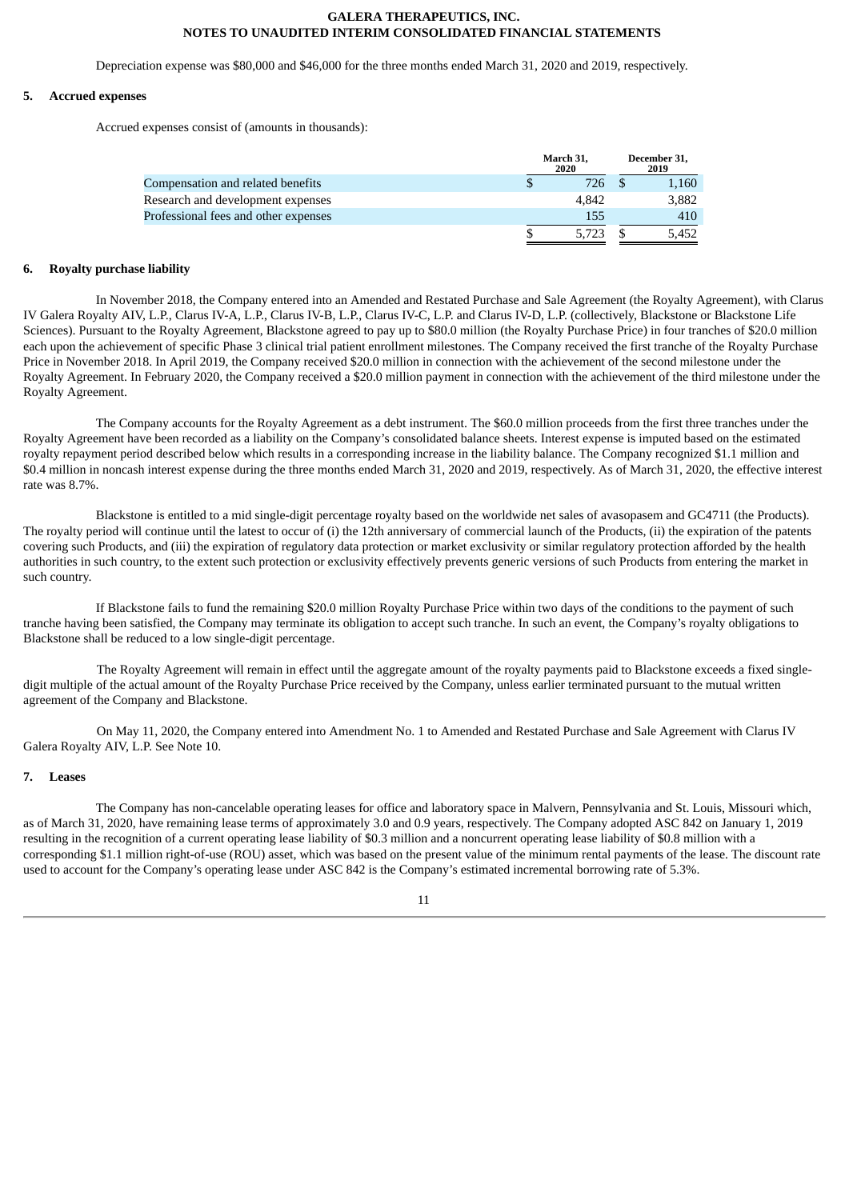Depreciation expense was \$80,000 and \$46,000 for the three months ended March 31, 2020 and 2019, respectively.

#### **5. Accrued expenses**

Accrued expenses consist of (amounts in thousands):

|                                      | March 31,<br>2020 | December 31,<br>2019 |       |  |
|--------------------------------------|-------------------|----------------------|-------|--|
| Compensation and related benefits    | 726               |                      | 1,160 |  |
| Research and development expenses    | 4.842             |                      | 3,882 |  |
| Professional fees and other expenses | 155               |                      | 410   |  |
|                                      | \$<br>5.723       |                      | 5.452 |  |

#### **6. Royalty purchase liability**

In November 2018, the Company entered into an Amended and Restated Purchase and Sale Agreement (the Royalty Agreement), with Clarus IV Galera Royalty AIV, L.P., Clarus IV-A, L.P., Clarus IV-B, L.P., Clarus IV-C, L.P. and Clarus IV-D, L.P. (collectively, Blackstone or Blackstone Life Sciences). Pursuant to the Royalty Agreement, Blackstone agreed to pay up to \$80.0 million (the Royalty Purchase Price) in four tranches of \$20.0 million each upon the achievement of specific Phase 3 clinical trial patient enrollment milestones. The Company received the first tranche of the Royalty Purchase Price in November 2018. In April 2019, the Company received \$20.0 million in connection with the achievement of the second milestone under the Royalty Agreement. In February 2020, the Company received a \$20.0 million payment in connection with the achievement of the third milestone under the Royalty Agreement.

The Company accounts for the Royalty Agreement as a debt instrument. The \$60.0 million proceeds from the first three tranches under the Royalty Agreement have been recorded as a liability on the Company's consolidated balance sheets. Interest expense is imputed based on the estimated royalty repayment period described below which results in a corresponding increase in the liability balance. The Company recognized \$1.1 million and \$0.4 million in noncash interest expense during the three months ended March 31, 2020 and 2019, respectively. As of March 31, 2020, the effective interest rate was 8.7%.

Blackstone is entitled to a mid single-digit percentage royalty based on the worldwide net sales of avasopasem and GC4711 (the Products). The royalty period will continue until the latest to occur of (i) the 12th anniversary of commercial launch of the Products, (ii) the expiration of the patents covering such Products, and (iii) the expiration of regulatory data protection or market exclusivity or similar regulatory protection afforded by the health authorities in such country, to the extent such protection or exclusivity effectively prevents generic versions of such Products from entering the market in such country.

If Blackstone fails to fund the remaining \$20.0 million Royalty Purchase Price within two days of the conditions to the payment of such tranche having been satisfied, the Company may terminate its obligation to accept such tranche. In such an event, the Company's royalty obligations to Blackstone shall be reduced to a low single-digit percentage.

The Royalty Agreement will remain in effect until the aggregate amount of the royalty payments paid to Blackstone exceeds a fixed singledigit multiple of the actual amount of the Royalty Purchase Price received by the Company, unless earlier terminated pursuant to the mutual written agreement of the Company and Blackstone.

On May 11, 2020, the Company entered into Amendment No. 1 to Amended and Restated Purchase and Sale Agreement with Clarus IV Galera Royalty AIV, L.P. See Note 10.

#### **7. Leases**

The Company has non-cancelable operating leases for office and laboratory space in Malvern, Pennsylvania and St. Louis, Missouri which, as of March 31, 2020, have remaining lease terms of approximately 3.0 and 0.9 years, respectively. The Company adopted ASC 842 on January 1, 2019 resulting in the recognition of a current operating lease liability of \$0.3 million and a noncurrent operating lease liability of \$0.8 million with a corresponding \$1.1 million right-of-use (ROU) asset, which was based on the present value of the minimum rental payments of the lease. The discount rate used to account for the Company's operating lease under ASC 842 is the Company's estimated incremental borrowing rate of 5.3%.

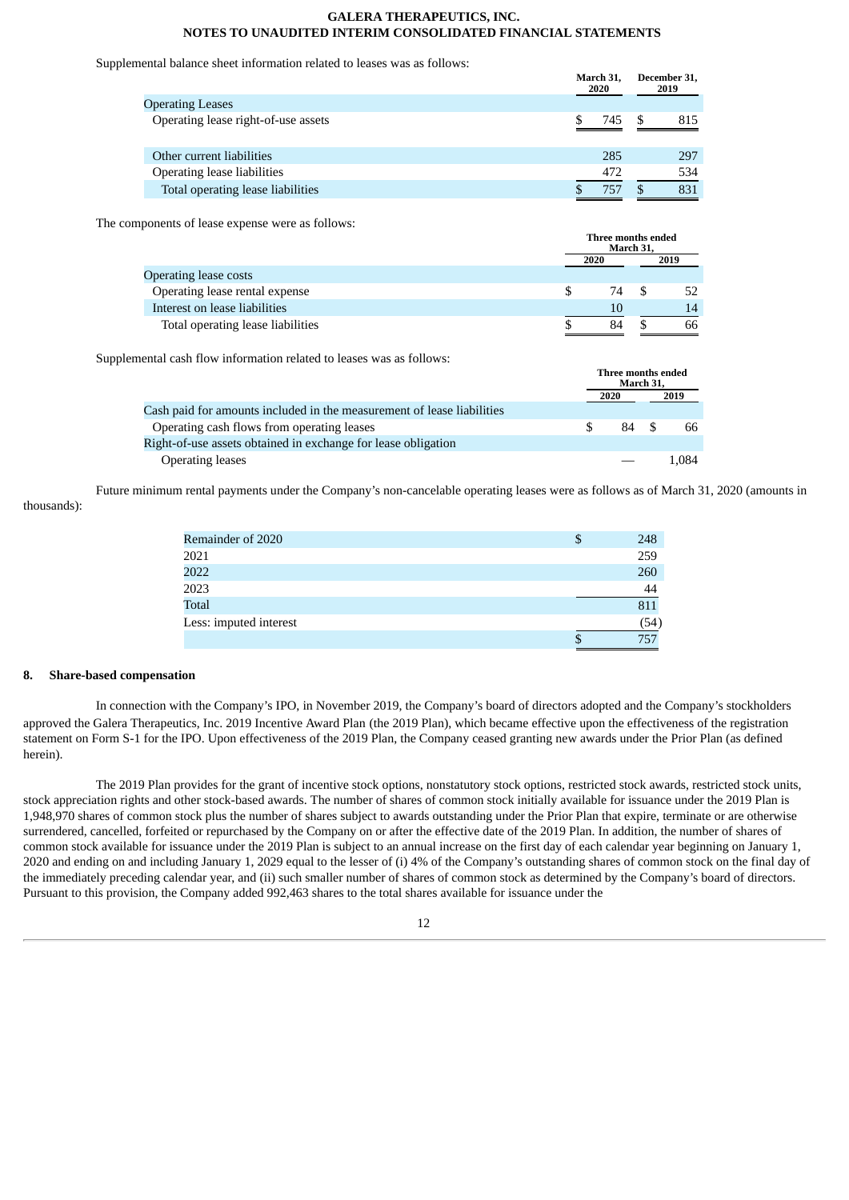Supplemental balance sheet information related to leases was as follows:

|                                                                | March 31,<br>2020 |     | December 31,<br>2019 |
|----------------------------------------------------------------|-------------------|-----|----------------------|
| <b>Operating Leases</b><br>Operating lease right-of-use assets |                   | 745 | 815                  |
|                                                                |                   |     |                      |
| Other current liabilities                                      |                   | 285 | 297                  |
| Operating lease liabilities                                    |                   | 472 | 534                  |
| Total operating lease liabilities                              |                   | 757 | 831                  |

The components of lease expense were as follows:

|                                   | Three months ended<br>March 31, |    |  |      |
|-----------------------------------|---------------------------------|----|--|------|
|                                   | 2020                            |    |  | 2019 |
| <b>Operating lease costs</b>      |                                 |    |  |      |
| Operating lease rental expense    |                                 | 74 |  | 52   |
| Interest on lease liabilities     |                                 | 10 |  | 14   |
| Total operating lease liabilities |                                 | 84 |  | 66   |

Supplemental cash flow information related to leases was as follows:

|                                                                        | Three months ended<br>March 31, |  |       |
|------------------------------------------------------------------------|---------------------------------|--|-------|
|                                                                        | 2020                            |  | 2019  |
| Cash paid for amounts included in the measurement of lease liabilities |                                 |  |       |
| Operating cash flows from operating leases                             | 84 S                            |  | 66    |
| Right-of-use assets obtained in exchange for lease obligation          |                                 |  |       |
| <b>Operating leases</b>                                                |                                 |  | 1.084 |

Future minimum rental payments under the Company's non-cancelable operating leases were as follows as of March 31, 2020 (amounts in thousands):

| Remainder of 2020      | J | 248  |
|------------------------|---|------|
| 2021                   |   | 259  |
| 2022                   |   | 260  |
| 2023                   |   | 44   |
| Total                  |   | 811  |
| Less: imputed interest |   | (54) |
|                        |   | 757  |

#### **8. Share-based compensation**

In connection with the Company's IPO, in November 2019, the Company's board of directors adopted and the Company's stockholders approved the Galera Therapeutics, Inc. 2019 Incentive Award Plan (the 2019 Plan), which became effective upon the effectiveness of the registration statement on Form S-1 for the IPO. Upon effectiveness of the 2019 Plan, the Company ceased granting new awards under the Prior Plan (as defined herein).

The 2019 Plan provides for the grant of incentive stock options, nonstatutory stock options, restricted stock awards, restricted stock units, stock appreciation rights and other stock-based awards. The number of shares of common stock initially available for issuance under the 2019 Plan is 1,948,970 shares of common stock plus the number of shares subject to awards outstanding under the Prior Plan that expire, terminate or are otherwise surrendered, cancelled, forfeited or repurchased by the Company on or after the effective date of the 2019 Plan. In addition, the number of shares of common stock available for issuance under the 2019 Plan is subject to an annual increase on the first day of each calendar year beginning on January 1, 2020 and ending on and including January 1, 2029 equal to the lesser of (i) 4% of the Company's outstanding shares of common stock on the final day of the immediately preceding calendar year, and (ii) such smaller number of shares of common stock as determined by the Company's board of directors. Pursuant to this provision, the Company added 992,463 shares to the total shares available for issuance under the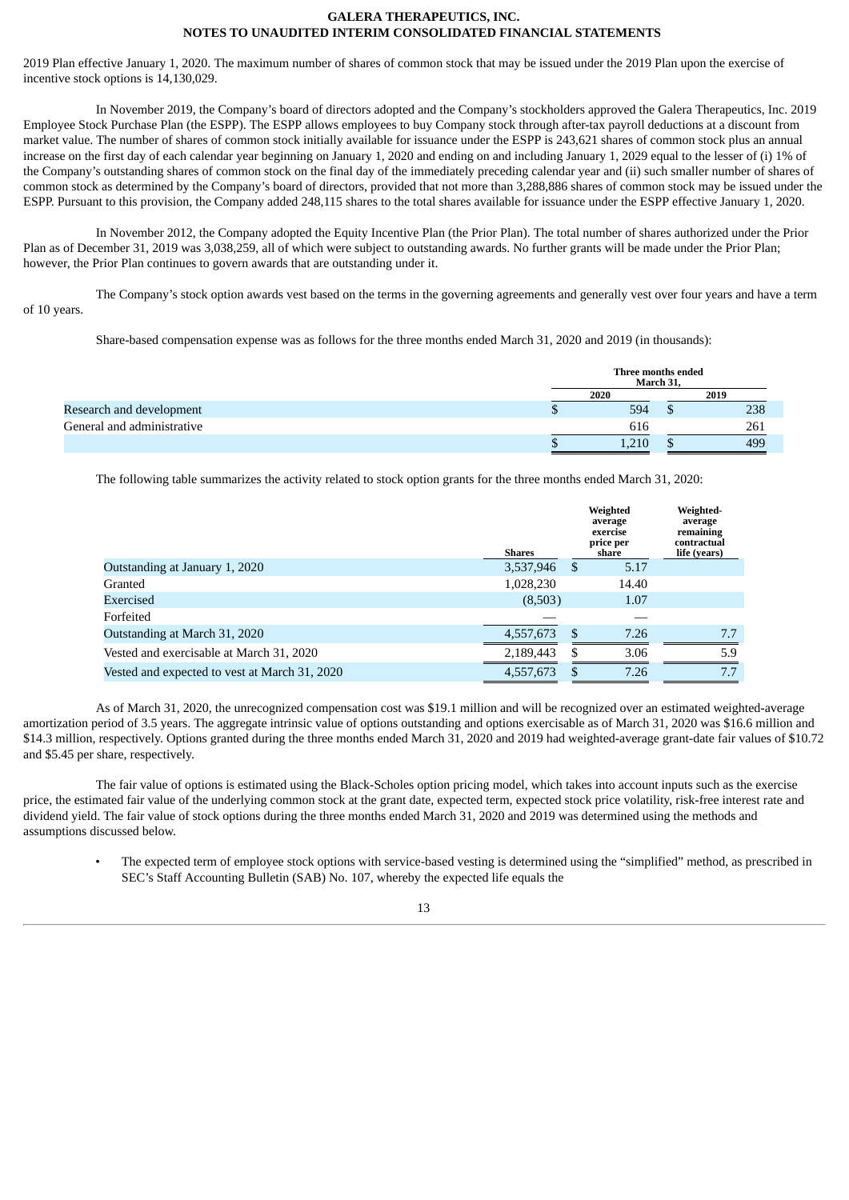2019 Plan effective January 1, 2020. The maximum number of shares of common stock that may be issued under the 2019 Plan upon the exercise of incentive stock options is 14,130,029.

In November 2019, the Company's board of directors adopted and the Company's stockholders approved the Galera Therapeutics, Inc. 2019 Employee Stock Purchase Plan (the ESPP). The ESPP allows employees to buy Company stock through after-tax payroll deductions at a discount from market value. The number of shares of common stock initially available for issuance under the ESPP is 243,621 shares of common stock plus an annual increase on the first day of each calendar year beginning on January 1, 2020 and ending on and including January 1, 2029 equal to the lesser of (i) 1% of the Company's outstanding shares of common stock on the final day of the immediately preceding calendar year and (ii) such smaller number of shares of common stock as determined by the Company's board of directors, provided that not more than 3,288,886 shares of common stock may be issued under the ESPP. Pursuant to this provision, the Company added 248,115 shares to the total shares available for issuance under the ESPP effective January 1, 2020.

In November 2012, the Company adopted the Equity Incentive Plan (the Prior Plan). The total number of shares authorized under the Prior Plan as of December 31, 2019 was 3,038,259, all of which were subject to outstanding awards. No further grants will be made under the Prior Plan; however, the Prior Plan continues to govern awards that are outstanding under it.

The Company's stock option awards vest based on the terms in the governing agreements and generally vest over four years and have a term of 10 years.

Share-based compensation expense was as follows for the three months ended March 31, 2020 and 2019 (in thousands):

|                            | Three months ended<br>March 31, |       |      |     |  |
|----------------------------|---------------------------------|-------|------|-----|--|
|                            |                                 | 2020  | 2019 |     |  |
| Research and development   |                                 | 594   |      | 238 |  |
| General and administrative |                                 | 616   |      | 261 |  |
|                            |                                 | 1,210 |      | 499 |  |

The following table summarizes the activity related to stock option grants for the three months ended March 31, 2020:

|                                               | <b>Shares</b> |    | Weighted<br>average<br>exercise<br>price per<br>share | Weighted-<br>average<br>remaining<br>contractual<br>life (years) |
|-----------------------------------------------|---------------|----|-------------------------------------------------------|------------------------------------------------------------------|
| Outstanding at January 1, 2020                | 3,537,946     | S  | 5.17                                                  |                                                                  |
| Granted                                       | 1,028,230     |    | 14.40                                                 |                                                                  |
| Exercised                                     | (8,503)       |    | 1.07                                                  |                                                                  |
| Forfeited                                     |               |    |                                                       |                                                                  |
| Outstanding at March 31, 2020                 | 4,557,673     | \$ | 7.26                                                  | 7.7                                                              |
| Vested and exercisable at March 31, 2020      | 2,189,443     | S  | 3.06                                                  | 5.9                                                              |
| Vested and expected to vest at March 31, 2020 | 4,557,673     | S  | 7.26                                                  | 7.7                                                              |

As of March 31, 2020, the unrecognized compensation cost was \$19.1 million and will be recognized over an estimated weighted-average amortization period of 3.5 years. The aggregate intrinsic value of options outstanding and options exercisable as of March 31, 2020 was \$16.6 million and \$14.3 million, respectively. Options granted during the three months ended March 31, 2020 and 2019 had weighted-average grant-date fair values of \$10.72 and \$5.45 per share, respectively.

The fair value of options is estimated using the Black-Scholes option pricing model, which takes into account inputs such as the exercise price, the estimated fair value of the underlying common stock at the grant date, expected term, expected stock price volatility, risk-free interest rate and dividend yield. The fair value of stock options during the three months ended March 31, 2020 and 2019 was determined using the methods and assumptions discussed below.

• The expected term of employee stock options with service-based vesting is determined using the "simplified" method, as prescribed in SEC's Staff Accounting Bulletin (SAB) No. 107, whereby the expected life equals the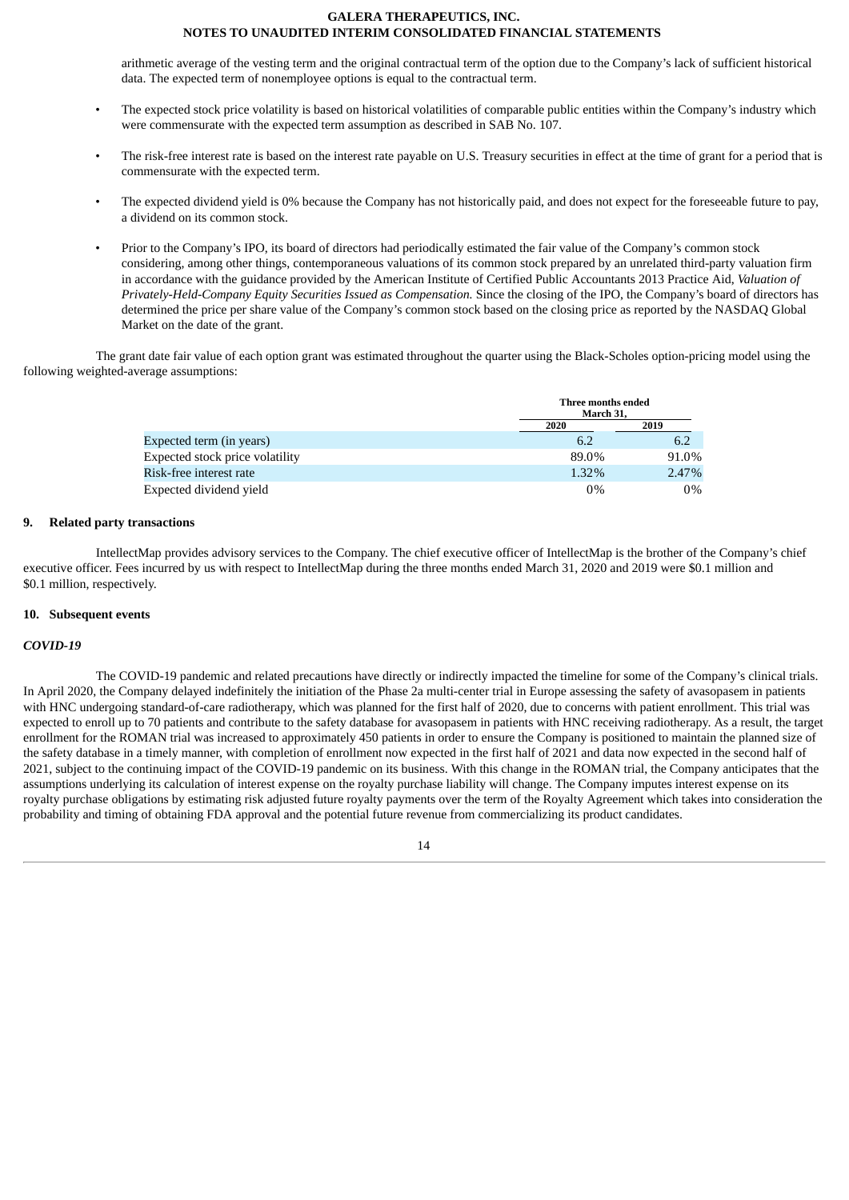arithmetic average of the vesting term and the original contractual term of the option due to the Company's lack of sufficient historical data. The expected term of nonemployee options is equal to the contractual term.

- The expected stock price volatility is based on historical volatilities of comparable public entities within the Company's industry which were commensurate with the expected term assumption as described in SAB No. 107.
- The risk-free interest rate is based on the interest rate payable on U.S. Treasury securities in effect at the time of grant for a period that is commensurate with the expected term.
- The expected dividend yield is 0% because the Company has not historically paid, and does not expect for the foreseeable future to pay, a dividend on its common stock.
- Prior to the Company's IPO, its board of directors had periodically estimated the fair value of the Company's common stock considering, among other things, contemporaneous valuations of its common stock prepared by an unrelated third-party valuation firm in accordance with the guidance provided by the American Institute of Certified Public Accountants 2013 Practice Aid, *Valuation of Privately-Held-Company Equity Securities Issued as Compensation.* Since the closing of the IPO, the Company's board of directors has determined the price per share value of the Company's common stock based on the closing price as reported by the NASDAQ Global Market on the date of the grant.

The grant date fair value of each option grant was estimated throughout the quarter using the Black-Scholes option-pricing model using the following weighted-average assumptions:

|                                 |       | Three months ended<br>March 31, |  |  |  |
|---------------------------------|-------|---------------------------------|--|--|--|
|                                 | 2020  | 2019                            |  |  |  |
| Expected term (in years)        | 6.2   | 6.2                             |  |  |  |
| Expected stock price volatility | 89.0% | 91.0%                           |  |  |  |
| Risk-free interest rate         | 1.32% | 2.47%                           |  |  |  |
| Expected dividend yield         | $0\%$ | $0\%$                           |  |  |  |

#### **9. Related party transactions**

IntellectMap provides advisory services to the Company. The chief executive officer of IntellectMap is the brother of the Company's chief executive officer. Fees incurred by us with respect to IntellectMap during the three months ended March 31, 2020 and 2019 were \$0.1 million and \$0.1 million, respectively.

#### **10. Subsequent events**

#### *COVID-19*

The COVID-19 pandemic and related precautions have directly or indirectly impacted the timeline for some of the Company's clinical trials. In April 2020, the Company delayed indefinitely the initiation of the Phase 2a multi-center trial in Europe assessing the safety of avasopasem in patients with HNC undergoing standard-of-care radiotherapy, which was planned for the first half of 2020, due to concerns with patient enrollment. This trial was expected to enroll up to 70 patients and contribute to the safety database for avasopasem in patients with HNC receiving radiotherapy. As a result, the target enrollment for the ROMAN trial was increased to approximately 450 patients in order to ensure the Company is positioned to maintain the planned size of the safety database in a timely manner, with completion of enrollment now expected in the first half of 2021 and data now expected in the second half of 2021, subject to the continuing impact of the COVID-19 pandemic on its business. With this change in the ROMAN trial, the Company anticipates that the assumptions underlying its calculation of interest expense on the royalty purchase liability will change. The Company imputes interest expense on its royalty purchase obligations by estimating risk adjusted future royalty payments over the term of the Royalty Agreement which takes into consideration the probability and timing of obtaining FDA approval and the potential future revenue from commercializing its product candidates.

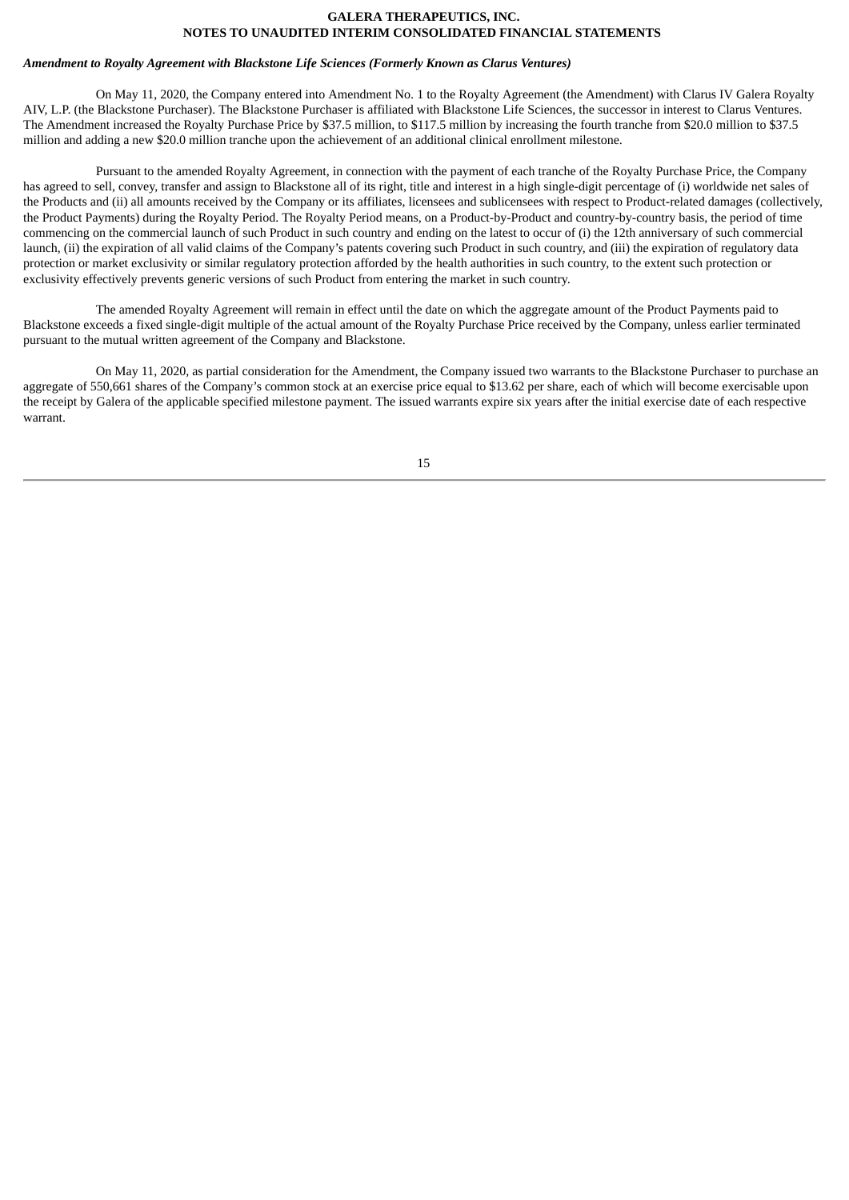#### *Amendment to Royalty Agreement with Blackstone Life Sciences (Formerly Known as Clarus Ventures)*

On May 11, 2020, the Company entered into Amendment No. 1 to the Royalty Agreement (the Amendment) with Clarus IV Galera Royalty AIV, L.P. (the Blackstone Purchaser). The Blackstone Purchaser is affiliated with Blackstone Life Sciences, the successor in interest to Clarus Ventures. The Amendment increased the Royalty Purchase Price by \$37.5 million, to \$117.5 million by increasing the fourth tranche from \$20.0 million to \$37.5 million and adding a new \$20.0 million tranche upon the achievement of an additional clinical enrollment milestone.

Pursuant to the amended Royalty Agreement, in connection with the payment of each tranche of the Royalty Purchase Price, the Company has agreed to sell, convey, transfer and assign to Blackstone all of its right, title and interest in a high single-digit percentage of (i) worldwide net sales of the Products and (ii) all amounts received by the Company or its affiliates, licensees and sublicensees with respect to Product-related damages (collectively, the Product Payments) during the Royalty Period. The Royalty Period means, on a Product-by-Product and country-by-country basis, the period of time commencing on the commercial launch of such Product in such country and ending on the latest to occur of (i) the 12th anniversary of such commercial launch, (ii) the expiration of all valid claims of the Company's patents covering such Product in such country, and (iii) the expiration of regulatory data protection or market exclusivity or similar regulatory protection afforded by the health authorities in such country, to the extent such protection or exclusivity effectively prevents generic versions of such Product from entering the market in such country.

The amended Royalty Agreement will remain in effect until the date on which the aggregate amount of the Product Payments paid to Blackstone exceeds a fixed single-digit multiple of the actual amount of the Royalty Purchase Price received by the Company, unless earlier terminated pursuant to the mutual written agreement of the Company and Blackstone.

On May 11, 2020, as partial consideration for the Amendment, the Company issued two warrants to the Blackstone Purchaser to purchase an aggregate of 550,661 shares of the Company's common stock at an exercise price equal to \$13.62 per share, each of which will become exercisable upon the receipt by Galera of the applicable specified milestone payment. The issued warrants expire six years after the initial exercise date of each respective warrant.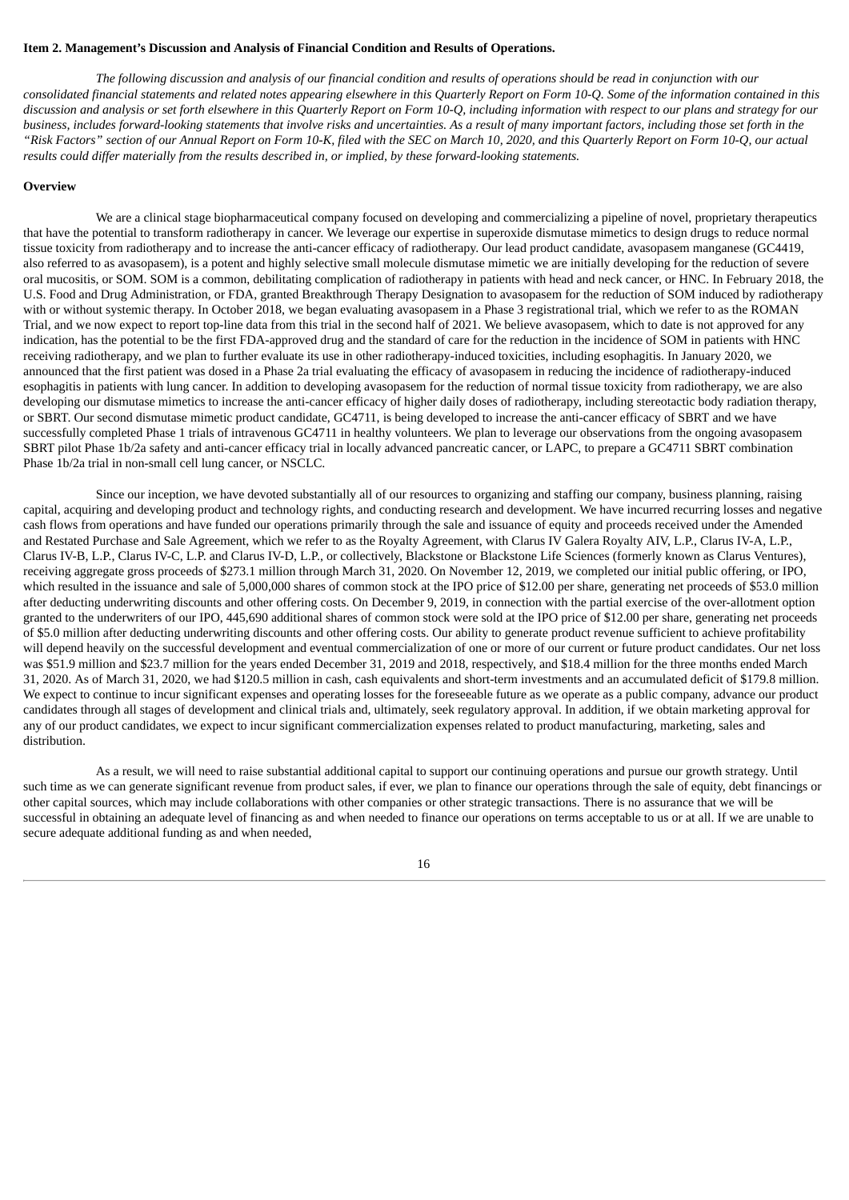#### <span id="page-16-0"></span>**Item 2. Management's Discussion and Analysis of Financial Condition and Results of Operations.**

The following discussion and analysis of our financial condition and results of operations should be read in conjunction with our consolidated financial statements and related notes appearing elsewhere in this Quarterly Report on Form 10-Q. Some of the information contained in this discussion and analysis or set forth elsewhere in this Quarterly Report on Form 10-Q, including information with respect to our plans and strategy for our business, includes forward-looking statements that involve risks and uncertainties. As a result of many important factors, including those set forth in the "Risk Factors" section of our Annual Report on Form 10-K, filed with the SEC on March 10, 2020, and this Ouarterly Report on Form 10-O, our actual *results could differ materially from the results described in, or implied, by these forward-looking statements.*

#### **Overview**

We are a clinical stage biopharmaceutical company focused on developing and commercializing a pipeline of novel, proprietary therapeutics that have the potential to transform radiotherapy in cancer. We leverage our expertise in superoxide dismutase mimetics to design drugs to reduce normal tissue toxicity from radiotherapy and to increase the anti-cancer efficacy of radiotherapy. Our lead product candidate, avasopasem manganese (GC4419, also referred to as avasopasem), is a potent and highly selective small molecule dismutase mimetic we are initially developing for the reduction of severe oral mucositis, or SOM. SOM is a common, debilitating complication of radiotherapy in patients with head and neck cancer, or HNC. In February 2018, the U.S. Food and Drug Administration, or FDA, granted Breakthrough Therapy Designation to avasopasem for the reduction of SOM induced by radiotherapy with or without systemic therapy. In October 2018, we began evaluating avasopasem in a Phase 3 registrational trial, which we refer to as the ROMAN Trial, and we now expect to report top-line data from this trial in the second half of 2021. We believe avasopasem, which to date is not approved for any indication, has the potential to be the first FDA-approved drug and the standard of care for the reduction in the incidence of SOM in patients with HNC receiving radiotherapy, and we plan to further evaluate its use in other radiotherapy-induced toxicities, including esophagitis. In January 2020, we announced that the first patient was dosed in a Phase 2a trial evaluating the efficacy of avasopasem in reducing the incidence of radiotherapy-induced esophagitis in patients with lung cancer. In addition to developing avasopasem for the reduction of normal tissue toxicity from radiotherapy, we are also developing our dismutase mimetics to increase the anti-cancer efficacy of higher daily doses of radiotherapy, including stereotactic body radiation therapy, or SBRT. Our second dismutase mimetic product candidate, GC4711, is being developed to increase the anti-cancer efficacy of SBRT and we have successfully completed Phase 1 trials of intravenous GC4711 in healthy volunteers. We plan to leverage our observations from the ongoing avasopasem SBRT pilot Phase 1b/2a safety and anti-cancer efficacy trial in locally advanced pancreatic cancer, or LAPC, to prepare a GC4711 SBRT combination Phase 1b/2a trial in non-small cell lung cancer, or NSCLC.

Since our inception, we have devoted substantially all of our resources to organizing and staffing our company, business planning, raising capital, acquiring and developing product and technology rights, and conducting research and development. We have incurred recurring losses and negative cash flows from operations and have funded our operations primarily through the sale and issuance of equity and proceeds received under the Amended and Restated Purchase and Sale Agreement, which we refer to as the Royalty Agreement, with Clarus IV Galera Royalty AIV, L.P., Clarus IV-A, L.P., Clarus IV-B, L.P., Clarus IV-C, L.P. and Clarus IV-D, L.P., or collectively, Blackstone or Blackstone Life Sciences (formerly known as Clarus Ventures), receiving aggregate gross proceeds of \$273.1 million through March 31, 2020. On November 12, 2019, we completed our initial public offering, or IPO, which resulted in the issuance and sale of 5,000,000 shares of common stock at the IPO price of \$12.00 per share, generating net proceeds of \$53.0 million after deducting underwriting discounts and other offering costs. On December 9, 2019, in connection with the partial exercise of the over-allotment option granted to the underwriters of our IPO, 445,690 additional shares of common stock were sold at the IPO price of \$12.00 per share, generating net proceeds of \$5.0 million after deducting underwriting discounts and other offering costs. Our ability to generate product revenue sufficient to achieve profitability will depend heavily on the successful development and eventual commercialization of one or more of our current or future product candidates. Our net loss was \$51.9 million and \$23.7 million for the years ended December 31, 2019 and 2018, respectively, and \$18.4 million for the three months ended March 31, 2020. As of March 31, 2020, we had \$120.5 million in cash, cash equivalents and short-term investments and an accumulated deficit of \$179.8 million. We expect to continue to incur significant expenses and operating losses for the foreseeable future as we operate as a public company, advance our product candidates through all stages of development and clinical trials and, ultimately, seek regulatory approval. In addition, if we obtain marketing approval for any of our product candidates, we expect to incur significant commercialization expenses related to product manufacturing, marketing, sales and distribution.

As a result, we will need to raise substantial additional capital to support our continuing operations and pursue our growth strategy. Until such time as we can generate significant revenue from product sales, if ever, we plan to finance our operations through the sale of equity, debt financings or other capital sources, which may include collaborations with other companies or other strategic transactions. There is no assurance that we will be successful in obtaining an adequate level of financing as and when needed to finance our operations on terms acceptable to us or at all. If we are unable to secure adequate additional funding as and when needed,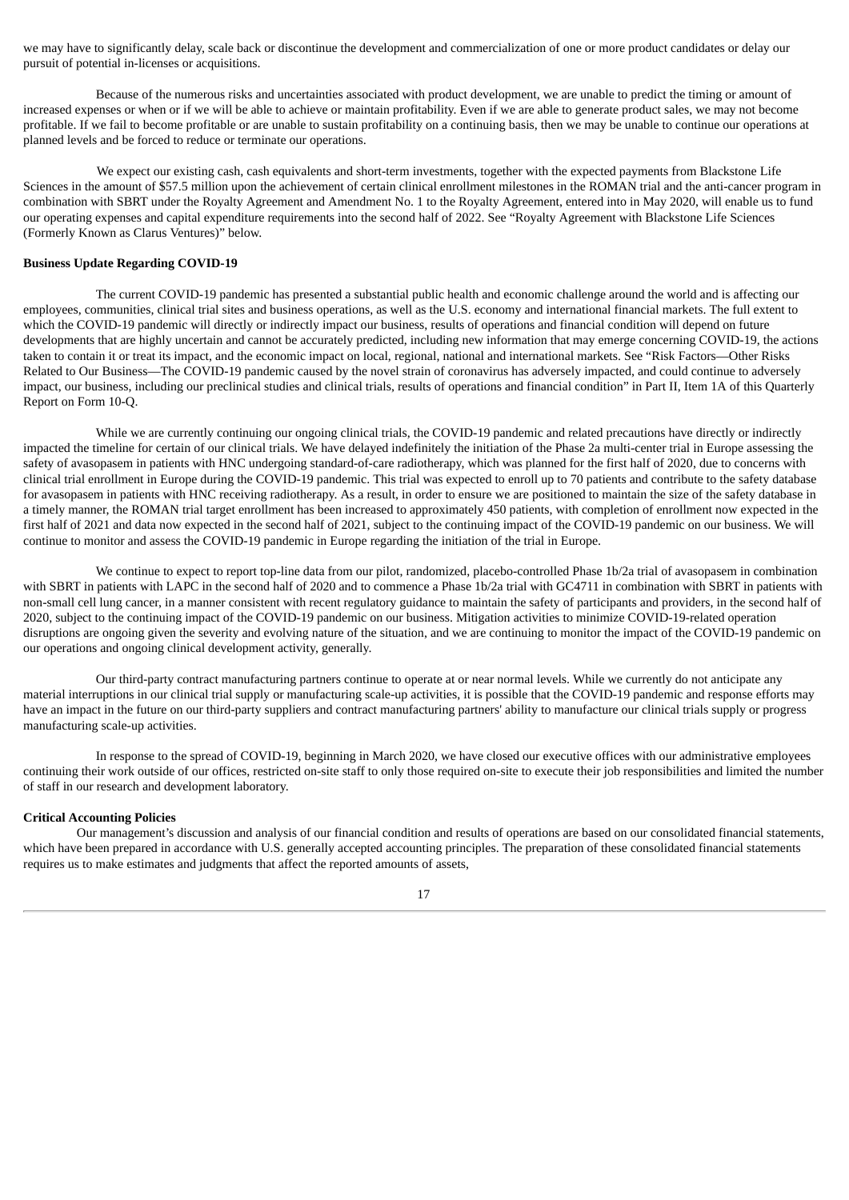we may have to significantly delay, scale back or discontinue the development and commercialization of one or more product candidates or delay our pursuit of potential in-licenses or acquisitions.

Because of the numerous risks and uncertainties associated with product development, we are unable to predict the timing or amount of increased expenses or when or if we will be able to achieve or maintain profitability. Even if we are able to generate product sales, we may not become profitable. If we fail to become profitable or are unable to sustain profitability on a continuing basis, then we may be unable to continue our operations at planned levels and be forced to reduce or terminate our operations.

We expect our existing cash, cash equivalents and short-term investments, together with the expected payments from Blackstone Life Sciences in the amount of \$57.5 million upon the achievement of certain clinical enrollment milestones in the ROMAN trial and the anti-cancer program in combination with SBRT under the Royalty Agreement and Amendment No. 1 to the Royalty Agreement, entered into in May 2020, will enable us to fund our operating expenses and capital expenditure requirements into the second half of 2022. See "Royalty Agreement with Blackstone Life Sciences (Formerly Known as Clarus Ventures)" below.

#### **Business Update Regarding COVID-19**

The current COVID-19 pandemic has presented a substantial public health and economic challenge around the world and is affecting our employees, communities, clinical trial sites and business operations, as well as the U.S. economy and international financial markets. The full extent to which the COVID-19 pandemic will directly or indirectly impact our business, results of operations and financial condition will depend on future developments that are highly uncertain and cannot be accurately predicted, including new information that may emerge concerning COVID-19, the actions taken to contain it or treat its impact, and the economic impact on local, regional, national and international markets. See "Risk Factors—Other Risks Related to Our Business—The COVID-19 pandemic caused by the novel strain of coronavirus has adversely impacted, and could continue to adversely impact, our business, including our preclinical studies and clinical trials, results of operations and financial condition" in Part II, Item 1A of this Quarterly Report on Form 10-Q.

While we are currently continuing our ongoing clinical trials, the COVID-19 pandemic and related precautions have directly or indirectly impacted the timeline for certain of our clinical trials. We have delayed indefinitely the initiation of the Phase 2a multi-center trial in Europe assessing the safety of avasopasem in patients with HNC undergoing standard-of-care radiotherapy, which was planned for the first half of 2020, due to concerns with clinical trial enrollment in Europe during the COVID-19 pandemic. This trial was expected to enroll up to 70 patients and contribute to the safety database for avasopasem in patients with HNC receiving radiotherapy. As a result, in order to ensure we are positioned to maintain the size of the safety database in a timely manner, the ROMAN trial target enrollment has been increased to approximately 450 patients, with completion of enrollment now expected in the first half of 2021 and data now expected in the second half of 2021, subject to the continuing impact of the COVID-19 pandemic on our business. We will continue to monitor and assess the COVID-19 pandemic in Europe regarding the initiation of the trial in Europe.

We continue to expect to report top-line data from our pilot, randomized, placebo-controlled Phase 1b/2a trial of avasopasem in combination with SBRT in patients with LAPC in the second half of 2020 and to commence a Phase 1b/2a trial with GC4711 in combination with SBRT in patients with non-small cell lung cancer, in a manner consistent with recent regulatory guidance to maintain the safety of participants and providers, in the second half of 2020, subject to the continuing impact of the COVID-19 pandemic on our business. Mitigation activities to minimize COVID-19-related operation disruptions are ongoing given the severity and evolving nature of the situation, and we are continuing to monitor the impact of the COVID-19 pandemic on our operations and ongoing clinical development activity, generally.

Our third-party contract manufacturing partners continue to operate at or near normal levels. While we currently do not anticipate any material interruptions in our clinical trial supply or manufacturing scale-up activities, it is possible that the COVID-19 pandemic and response efforts may have an impact in the future on our third-party suppliers and contract manufacturing partners' ability to manufacture our clinical trials supply or progress manufacturing scale-up activities.

In response to the spread of COVID-19, beginning in March 2020, we have closed our executive offices with our administrative employees continuing their work outside of our offices, restricted on-site staff to only those required on-site to execute their job responsibilities and limited the number of staff in our research and development laboratory.

#### **Critical Accounting Policies**

Our management's discussion and analysis of our financial condition and results of operations are based on our consolidated financial statements, which have been prepared in accordance with U.S. generally accepted accounting principles. The preparation of these consolidated financial statements requires us to make estimates and judgments that affect the reported amounts of assets,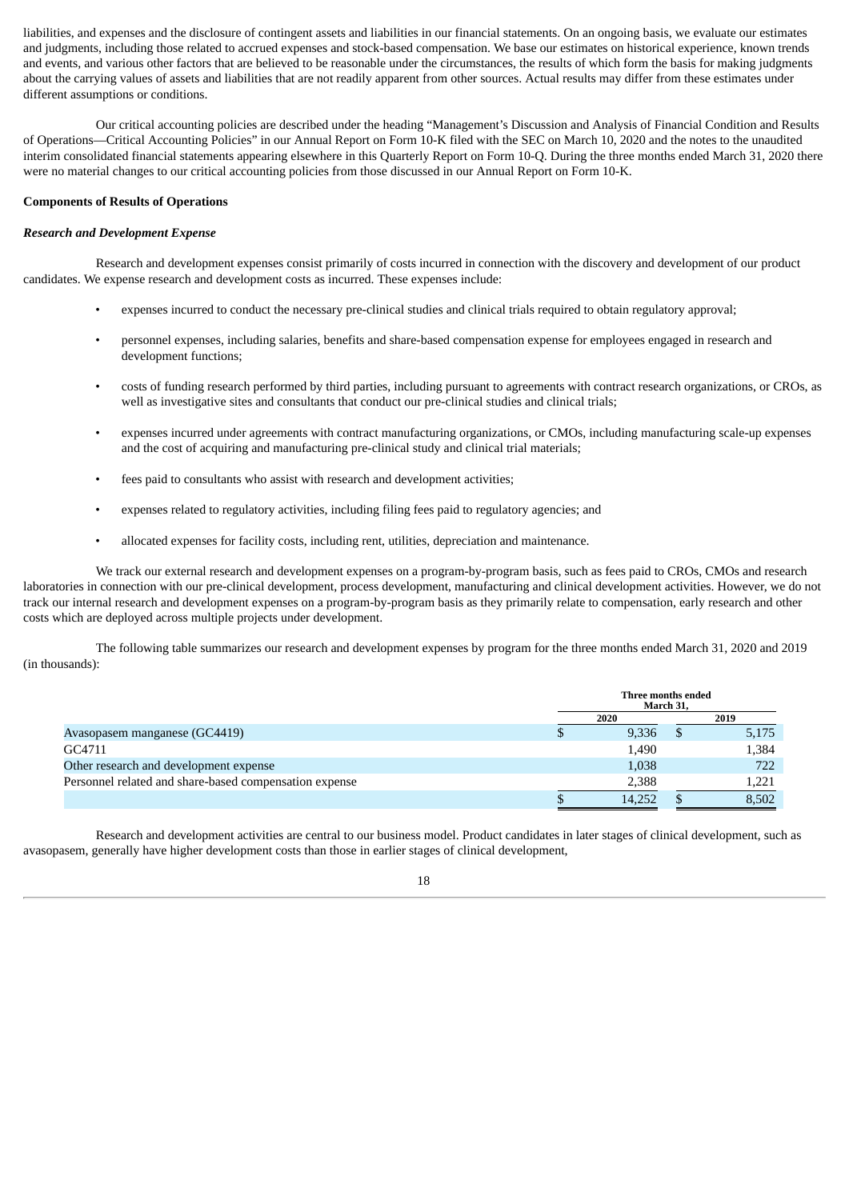liabilities, and expenses and the disclosure of contingent assets and liabilities in our financial statements. On an ongoing basis, we evaluate our estimates and judgments, including those related to accrued expenses and stock-based compensation. We base our estimates on historical experience, known trends and events, and various other factors that are believed to be reasonable under the circumstances, the results of which form the basis for making judgments about the carrying values of assets and liabilities that are not readily apparent from other sources. Actual results may differ from these estimates under different assumptions or conditions.

Our critical accounting policies are described under the heading "Management's Discussion and Analysis of Financial Condition and Results of Operations—Critical Accounting Policies" in our Annual Report on Form 10-K filed with the SEC on March 10, 2020 and the notes to the unaudited interim consolidated financial statements appearing elsewhere in this Quarterly Report on Form 10-Q. During the three months ended March 31, 2020 there were no material changes to our critical accounting policies from those discussed in our Annual Report on Form 10-K.

#### **Components of Results of Operations**

#### *Research and Development Expense*

Research and development expenses consist primarily of costs incurred in connection with the discovery and development of our product candidates. We expense research and development costs as incurred. These expenses include:

- expenses incurred to conduct the necessary pre-clinical studies and clinical trials required to obtain regulatory approval;
- personnel expenses, including salaries, benefits and share-based compensation expense for employees engaged in research and development functions;
- costs of funding research performed by third parties, including pursuant to agreements with contract research organizations, or CROs, as well as investigative sites and consultants that conduct our pre-clinical studies and clinical trials;
- expenses incurred under agreements with contract manufacturing organizations, or CMOs, including manufacturing scale-up expenses and the cost of acquiring and manufacturing pre-clinical study and clinical trial materials;
- fees paid to consultants who assist with research and development activities;
- expenses related to regulatory activities, including filing fees paid to regulatory agencies; and
- allocated expenses for facility costs, including rent, utilities, depreciation and maintenance.

We track our external research and development expenses on a program-by-program basis, such as fees paid to CROs, CMOs and research laboratories in connection with our pre-clinical development, process development, manufacturing and clinical development activities. However, we do not track our internal research and development expenses on a program-by-program basis as they primarily relate to compensation, early research and other costs which are deployed across multiple projects under development.

The following table summarizes our research and development expenses by program for the three months ended March 31, 2020 and 2019 (in thousands):

|                                                        | Three months ended<br>March 31, |  |       |  |
|--------------------------------------------------------|---------------------------------|--|-------|--|
|                                                        | 2020                            |  |       |  |
| Avasopasem manganese (GC4419)                          | 9,336                           |  | 5,175 |  |
| GC4711                                                 | 1,490                           |  | 1,384 |  |
| Other research and development expense                 | 1,038                           |  | 722   |  |
| Personnel related and share-based compensation expense | 2,388                           |  | 1,221 |  |
|                                                        | 14,252                          |  | 8,502 |  |

Research and development activities are central to our business model. Product candidates in later stages of clinical development, such as avasopasem, generally have higher development costs than those in earlier stages of clinical development,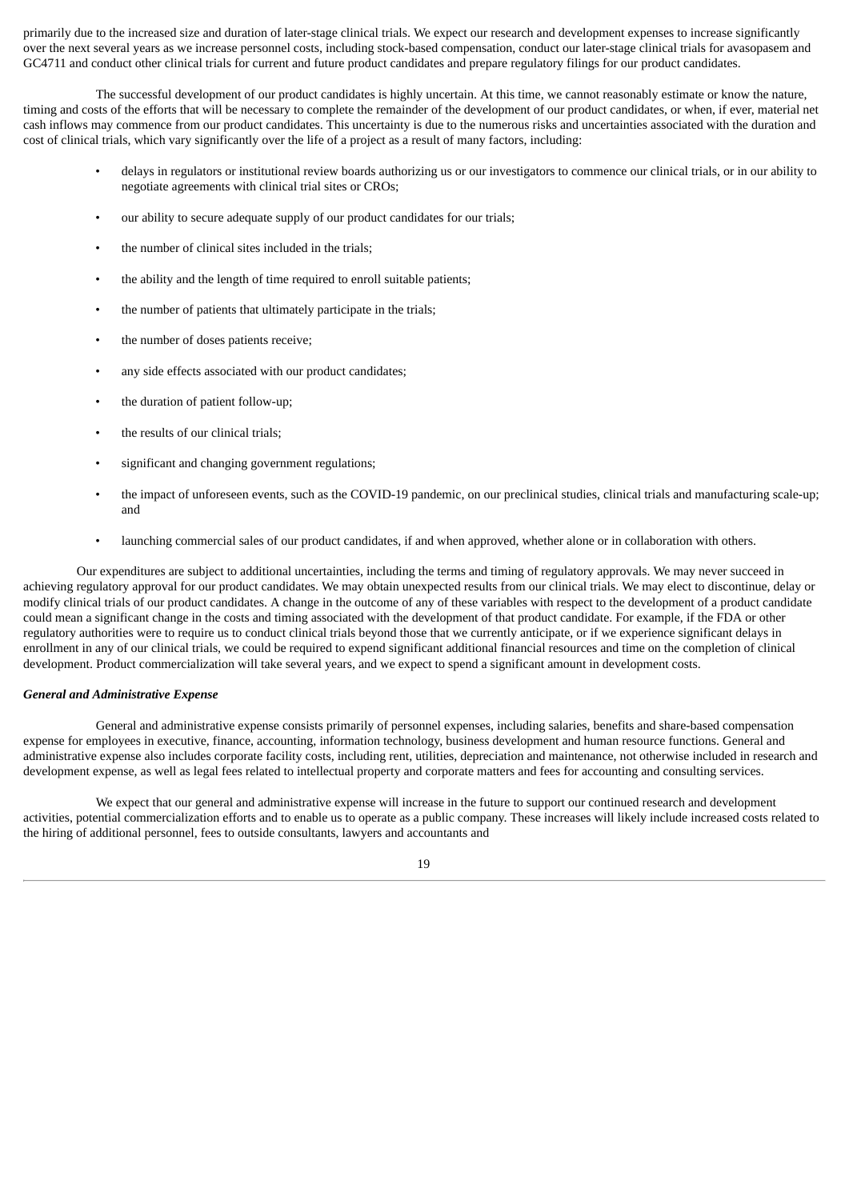primarily due to the increased size and duration of later-stage clinical trials. We expect our research and development expenses to increase significantly over the next several years as we increase personnel costs, including stock-based compensation, conduct our later-stage clinical trials for avasopasem and GC4711 and conduct other clinical trials for current and future product candidates and prepare regulatory filings for our product candidates.

The successful development of our product candidates is highly uncertain. At this time, we cannot reasonably estimate or know the nature, timing and costs of the efforts that will be necessary to complete the remainder of the development of our product candidates, or when, if ever, material net cash inflows may commence from our product candidates. This uncertainty is due to the numerous risks and uncertainties associated with the duration and cost of clinical trials, which vary significantly over the life of a project as a result of many factors, including:

- delays in regulators or institutional review boards authorizing us or our investigators to commence our clinical trials, or in our ability to negotiate agreements with clinical trial sites or CROs;
- our ability to secure adequate supply of our product candidates for our trials;
- the number of clinical sites included in the trials;
- the ability and the length of time required to enroll suitable patients;
- the number of patients that ultimately participate in the trials;
- the number of doses patients receive;
- any side effects associated with our product candidates:
- the duration of patient follow-up;
- the results of our clinical trials;
- significant and changing government regulations;
- the impact of unforeseen events, such as the COVID-19 pandemic, on our preclinical studies, clinical trials and manufacturing scale-up; and
- launching commercial sales of our product candidates, if and when approved, whether alone or in collaboration with others.

Our expenditures are subject to additional uncertainties, including the terms and timing of regulatory approvals. We may never succeed in achieving regulatory approval for our product candidates. We may obtain unexpected results from our clinical trials. We may elect to discontinue, delay or modify clinical trials of our product candidates. A change in the outcome of any of these variables with respect to the development of a product candidate could mean a significant change in the costs and timing associated with the development of that product candidate. For example, if the FDA or other regulatory authorities were to require us to conduct clinical trials beyond those that we currently anticipate, or if we experience significant delays in enrollment in any of our clinical trials, we could be required to expend significant additional financial resources and time on the completion of clinical development. Product commercialization will take several years, and we expect to spend a significant amount in development costs.

#### *General and Administrative Expense*

General and administrative expense consists primarily of personnel expenses, including salaries, benefits and share-based compensation expense for employees in executive, finance, accounting, information technology, business development and human resource functions. General and administrative expense also includes corporate facility costs, including rent, utilities, depreciation and maintenance, not otherwise included in research and development expense, as well as legal fees related to intellectual property and corporate matters and fees for accounting and consulting services.

We expect that our general and administrative expense will increase in the future to support our continued research and development activities, potential commercialization efforts and to enable us to operate as a public company. These increases will likely include increased costs related to the hiring of additional personnel, fees to outside consultants, lawyers and accountants and

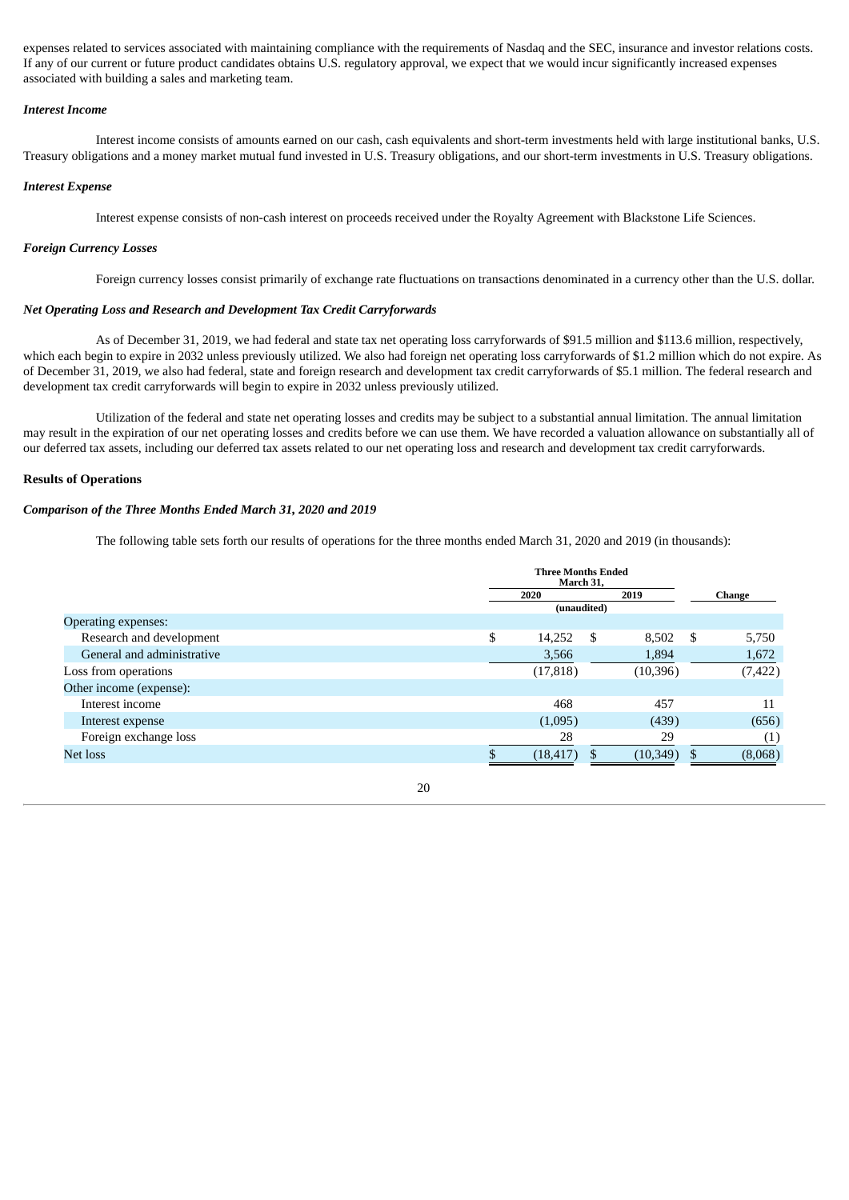expenses related to services associated with maintaining compliance with the requirements of Nasdaq and the SEC, insurance and investor relations costs. If any of our current or future product candidates obtains U.S. regulatory approval, we expect that we would incur significantly increased expenses associated with building a sales and marketing team.

#### *Interest Income*

Interest income consists of amounts earned on our cash, cash equivalents and short-term investments held with large institutional banks, U.S. Treasury obligations and a money market mutual fund invested in U.S. Treasury obligations, and our short-term investments in U.S. Treasury obligations.

#### *Interest Expense*

Interest expense consists of non-cash interest on proceeds received under the Royalty Agreement with Blackstone Life Sciences.

#### *Foreign Currency Losses*

Foreign currency losses consist primarily of exchange rate fluctuations on transactions denominated in a currency other than the U.S. dollar.

#### *Net Operating Loss and Research and Development Tax Credit Carryforwards*

As of December 31, 2019, we had federal and state tax net operating loss carryforwards of \$91.5 million and \$113.6 million, respectively, which each begin to expire in 2032 unless previously utilized. We also had foreign net operating loss carryforwards of \$1.2 million which do not expire. As of December 31, 2019, we also had federal, state and foreign research and development tax credit carryforwards of \$5.1 million. The federal research and development tax credit carryforwards will begin to expire in 2032 unless previously utilized.

Utilization of the federal and state net operating losses and credits may be subject to a substantial annual limitation. The annual limitation may result in the expiration of our net operating losses and credits before we can use them. We have recorded a valuation allowance on substantially all of our deferred tax assets, including our deferred tax assets related to our net operating loss and research and development tax credit carryforwards.

#### **Results of Operations**

#### *Comparison of the Three Months Ended March 31, 2020 and 2019*

The following table sets forth our results of operations for the three months ended March 31, 2020 and 2019 (in thousands):

|                            | <b>Three Months Ended</b><br>March 31, |              |    |           |        |          |
|----------------------------|----------------------------------------|--------------|----|-----------|--------|----------|
|                            |                                        | 2019<br>2020 |    |           | Change |          |
|                            |                                        | (unaudited)  |    |           |        |          |
| Operating expenses:        |                                        |              |    |           |        |          |
| Research and development   | \$                                     | 14,252       | \$ | 8,502     | -\$    | 5,750    |
| General and administrative |                                        | 3,566        |    | 1,894     |        | 1,672    |
| Loss from operations       |                                        | (17, 818)    |    | (10, 396) |        | (7, 422) |
| Other income (expense):    |                                        |              |    |           |        |          |
| Interest income            |                                        | 468          |    | 457       |        | 11       |
| Interest expense           |                                        | (1,095)      |    | (439)     |        | (656)    |
| Foreign exchange loss      |                                        | 28           |    | 29        |        | (1)      |
| Net loss                   |                                        | (18, 417)    |    | (10, 349) |        | (8,068)  |

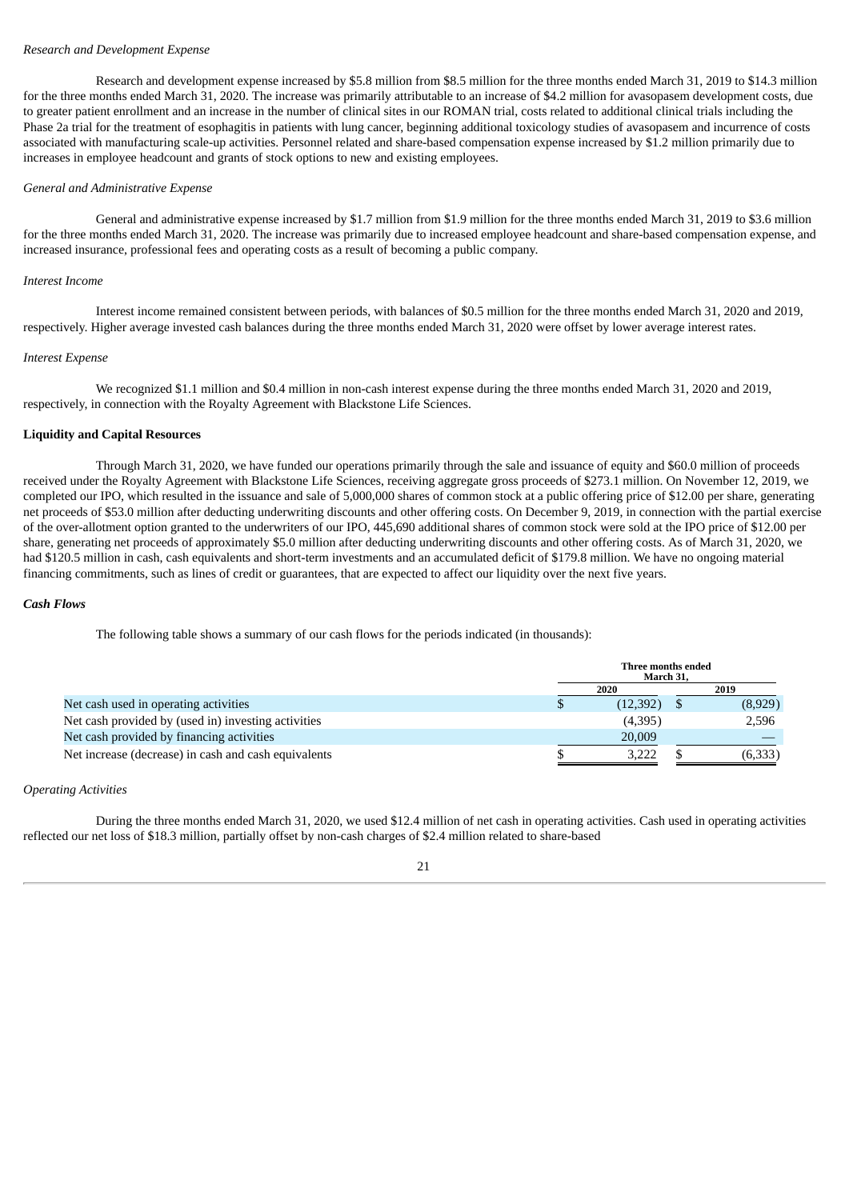#### *Research and Development Expense*

Research and development expense increased by \$5.8 million from \$8.5 million for the three months ended March 31, 2019 to \$14.3 million for the three months ended March 31, 2020. The increase was primarily attributable to an increase of \$4.2 million for avasopasem development costs, due to greater patient enrollment and an increase in the number of clinical sites in our ROMAN trial, costs related to additional clinical trials including the Phase 2a trial for the treatment of esophagitis in patients with lung cancer, beginning additional toxicology studies of avasopasem and incurrence of costs associated with manufacturing scale-up activities. Personnel related and share-based compensation expense increased by \$1.2 million primarily due to increases in employee headcount and grants of stock options to new and existing employees.

#### *General and Administrative Expense*

General and administrative expense increased by \$1.7 million from \$1.9 million for the three months ended March 31, 2019 to \$3.6 million for the three months ended March 31, 2020. The increase was primarily due to increased employee headcount and share-based compensation expense, and increased insurance, professional fees and operating costs as a result of becoming a public company.

#### *Interest Income*

Interest income remained consistent between periods, with balances of \$0.5 million for the three months ended March 31, 2020 and 2019, respectively. Higher average invested cash balances during the three months ended March 31, 2020 were offset by lower average interest rates.

#### *Interest Expense*

We recognized \$1.1 million and \$0.4 million in non-cash interest expense during the three months ended March 31, 2020 and 2019, respectively, in connection with the Royalty Agreement with Blackstone Life Sciences.

#### **Liquidity and Capital Resources**

Through March 31, 2020, we have funded our operations primarily through the sale and issuance of equity and \$60.0 million of proceeds received under the Royalty Agreement with Blackstone Life Sciences, receiving aggregate gross proceeds of \$273.1 million. On November 12, 2019, we completed our IPO, which resulted in the issuance and sale of 5,000,000 shares of common stock at a public offering price of \$12.00 per share, generating net proceeds of \$53.0 million after deducting underwriting discounts and other offering costs. On December 9, 2019, in connection with the partial exercise of the over-allotment option granted to the underwriters of our IPO, 445,690 additional shares of common stock were sold at the IPO price of \$12.00 per share, generating net proceeds of approximately \$5.0 million after deducting underwriting discounts and other offering costs. As of March 31, 2020, we had \$120.5 million in cash, cash equivalents and short-term investments and an accumulated deficit of \$179.8 million. We have no ongoing material financing commitments, such as lines of credit or guarantees, that are expected to affect our liquidity over the next five years.

#### *Cash Flows*

The following table shows a summary of our cash flows for the periods indicated (in thousands):

|                                                      | Three months ended<br>March 31, |  |         |  |
|------------------------------------------------------|---------------------------------|--|---------|--|
|                                                      | 2020                            |  |         |  |
| Net cash used in operating activities                | (12,392)                        |  | (8,929) |  |
| Net cash provided by (used in) investing activities  | (4,395)                         |  | 2,596   |  |
| Net cash provided by financing activities            | 20,009                          |  |         |  |
| Net increase (decrease) in cash and cash equivalents | 3.222                           |  | (6,333) |  |

#### *Operating Activities*

During the three months ended March 31, 2020, we used \$12.4 million of net cash in operating activities. Cash used in operating activities reflected our net loss of \$18.3 million, partially offset by non-cash charges of \$2.4 million related to share-based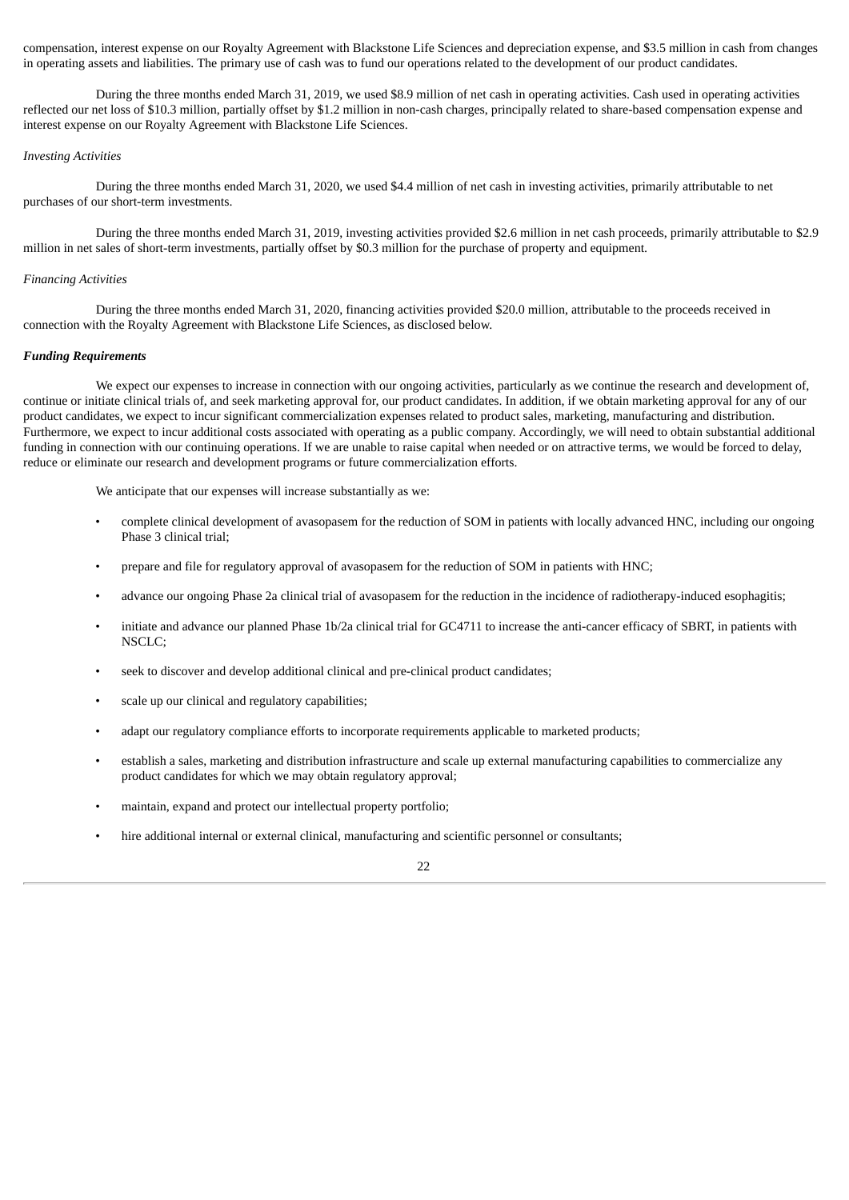compensation, interest expense on our Royalty Agreement with Blackstone Life Sciences and depreciation expense, and \$3.5 million in cash from changes in operating assets and liabilities. The primary use of cash was to fund our operations related to the development of our product candidates.

During the three months ended March 31, 2019, we used \$8.9 million of net cash in operating activities. Cash used in operating activities reflected our net loss of \$10.3 million, partially offset by \$1.2 million in non-cash charges, principally related to share-based compensation expense and interest expense on our Royalty Agreement with Blackstone Life Sciences.

#### *Investing Activities*

During the three months ended March 31, 2020, we used \$4.4 million of net cash in investing activities, primarily attributable to net purchases of our short-term investments.

During the three months ended March 31, 2019, investing activities provided \$2.6 million in net cash proceeds, primarily attributable to \$2.9 million in net sales of short-term investments, partially offset by \$0.3 million for the purchase of property and equipment.

#### *Financing Activities*

During the three months ended March 31, 2020, financing activities provided \$20.0 million, attributable to the proceeds received in connection with the Royalty Agreement with Blackstone Life Sciences, as disclosed below.

#### *Funding Requirements*

We expect our expenses to increase in connection with our ongoing activities, particularly as we continue the research and development of, continue or initiate clinical trials of, and seek marketing approval for, our product candidates. In addition, if we obtain marketing approval for any of our product candidates, we expect to incur significant commercialization expenses related to product sales, marketing, manufacturing and distribution. Furthermore, we expect to incur additional costs associated with operating as a public company. Accordingly, we will need to obtain substantial additional funding in connection with our continuing operations. If we are unable to raise capital when needed or on attractive terms, we would be forced to delay, reduce or eliminate our research and development programs or future commercialization efforts.

We anticipate that our expenses will increase substantially as we:

- complete clinical development of avasopasem for the reduction of SOM in patients with locally advanced HNC, including our ongoing Phase 3 clinical trial;
- prepare and file for regulatory approval of avasopasem for the reduction of SOM in patients with HNC;
- advance our ongoing Phase 2a clinical trial of avasopasem for the reduction in the incidence of radiotherapy-induced esophagitis;
- initiate and advance our planned Phase 1b/2a clinical trial for GC4711 to increase the anti-cancer efficacy of SBRT, in patients with NSCLC;
- seek to discover and develop additional clinical and pre-clinical product candidates;
- scale up our clinical and regulatory capabilities:
- adapt our regulatory compliance efforts to incorporate requirements applicable to marketed products;
- establish a sales, marketing and distribution infrastructure and scale up external manufacturing capabilities to commercialize any product candidates for which we may obtain regulatory approval;
- maintain, expand and protect our intellectual property portfolio;
- hire additional internal or external clinical, manufacturing and scientific personnel or consultants;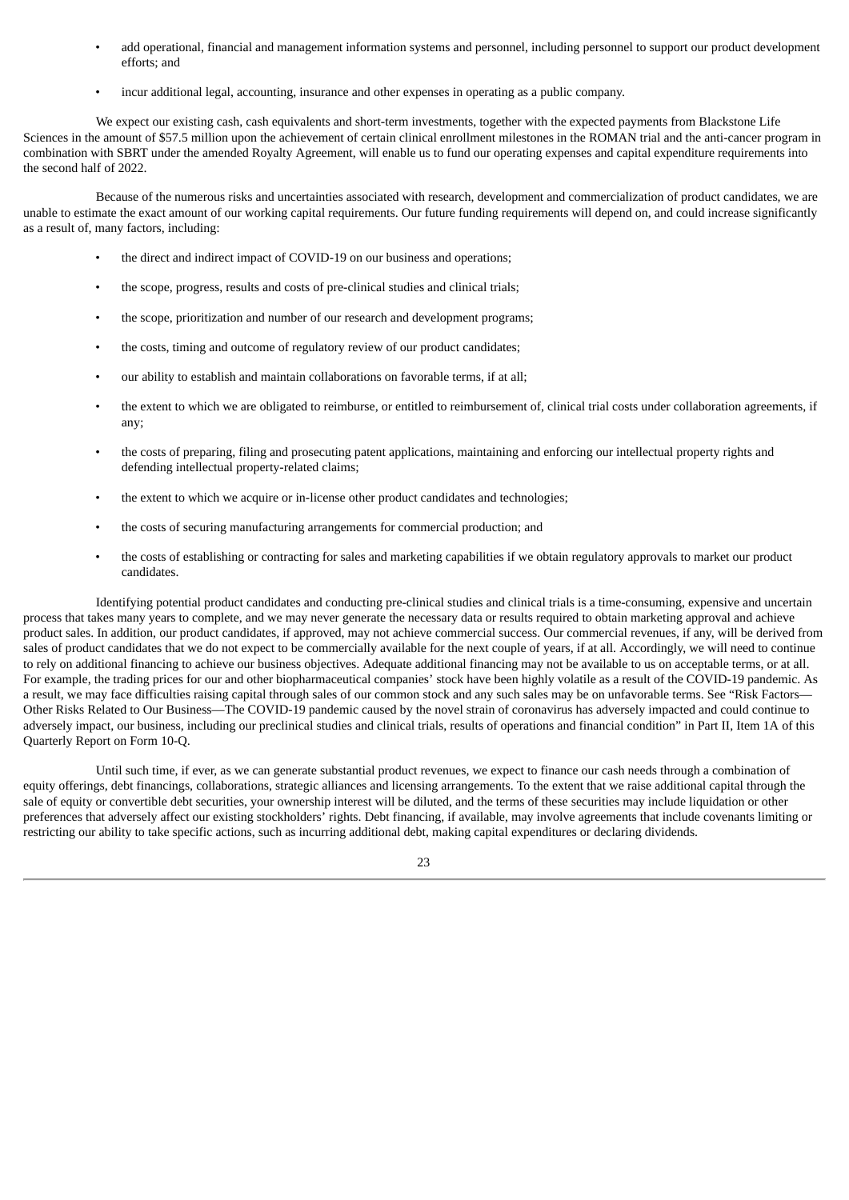- add operational, financial and management information systems and personnel, including personnel to support our product development efforts; and
- incur additional legal, accounting, insurance and other expenses in operating as a public company.

We expect our existing cash, cash equivalents and short-term investments, together with the expected payments from Blackstone Life Sciences in the amount of \$57.5 million upon the achievement of certain clinical enrollment milestones in the ROMAN trial and the anti-cancer program in combination with SBRT under the amended Royalty Agreement, will enable us to fund our operating expenses and capital expenditure requirements into the second half of 2022.

Because of the numerous risks and uncertainties associated with research, development and commercialization of product candidates, we are unable to estimate the exact amount of our working capital requirements. Our future funding requirements will depend on, and could increase significantly as a result of, many factors, including:

- the direct and indirect impact of COVID-19 on our business and operations;
- the scope, progress, results and costs of pre-clinical studies and clinical trials;
- the scope, prioritization and number of our research and development programs;
- the costs, timing and outcome of regulatory review of our product candidates;
- our ability to establish and maintain collaborations on favorable terms, if at all;
- the extent to which we are obligated to reimburse, or entitled to reimbursement of, clinical trial costs under collaboration agreements, if any;
- the costs of preparing, filing and prosecuting patent applications, maintaining and enforcing our intellectual property rights and defending intellectual property-related claims;
- the extent to which we acquire or in-license other product candidates and technologies;
- the costs of securing manufacturing arrangements for commercial production; and
- the costs of establishing or contracting for sales and marketing capabilities if we obtain regulatory approvals to market our product candidates.

Identifying potential product candidates and conducting pre-clinical studies and clinical trials is a time-consuming, expensive and uncertain process that takes many years to complete, and we may never generate the necessary data or results required to obtain marketing approval and achieve product sales. In addition, our product candidates, if approved, may not achieve commercial success. Our commercial revenues, if any, will be derived from sales of product candidates that we do not expect to be commercially available for the next couple of years, if at all. Accordingly, we will need to continue to rely on additional financing to achieve our business objectives. Adequate additional financing may not be available to us on acceptable terms, or at all. For example, the trading prices for our and other biopharmaceutical companies' stock have been highly volatile as a result of the COVID-19 pandemic. As a result, we may face difficulties raising capital through sales of our common stock and any such sales may be on unfavorable terms. See "Risk Factors— Other Risks Related to Our Business—The COVID-19 pandemic caused by the novel strain of coronavirus has adversely impacted and could continue to adversely impact, our business, including our preclinical studies and clinical trials, results of operations and financial condition" in Part II, Item 1A of this Quarterly Report on Form 10-Q.

Until such time, if ever, as we can generate substantial product revenues, we expect to finance our cash needs through a combination of equity offerings, debt financings, collaborations, strategic alliances and licensing arrangements. To the extent that we raise additional capital through the sale of equity or convertible debt securities, your ownership interest will be diluted, and the terms of these securities may include liquidation or other preferences that adversely affect our existing stockholders' rights. Debt financing, if available, may involve agreements that include covenants limiting or restricting our ability to take specific actions, such as incurring additional debt, making capital expenditures or declaring dividends.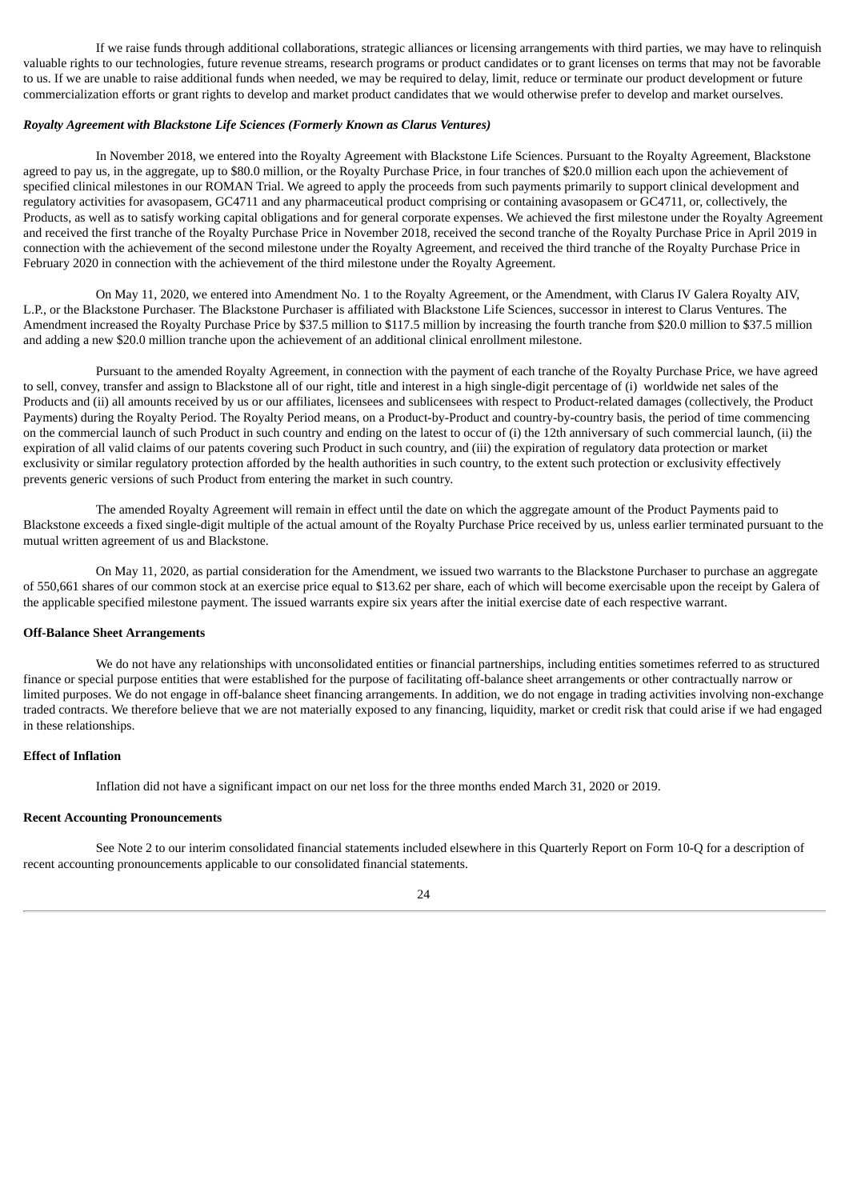If we raise funds through additional collaborations, strategic alliances or licensing arrangements with third parties, we may have to relinquish valuable rights to our technologies, future revenue streams, research programs or product candidates or to grant licenses on terms that may not be favorable to us. If we are unable to raise additional funds when needed, we may be required to delay, limit, reduce or terminate our product development or future commercialization efforts or grant rights to develop and market product candidates that we would otherwise prefer to develop and market ourselves.

#### *Royalty Agreement with Blackstone Life Sciences (Formerly Known as Clarus Ventures)*

In November 2018, we entered into the Royalty Agreement with Blackstone Life Sciences. Pursuant to the Royalty Agreement, Blackstone agreed to pay us, in the aggregate, up to \$80.0 million, or the Royalty Purchase Price, in four tranches of \$20.0 million each upon the achievement of specified clinical milestones in our ROMAN Trial. We agreed to apply the proceeds from such payments primarily to support clinical development and regulatory activities for avasopasem, GC4711 and any pharmaceutical product comprising or containing avasopasem or GC4711, or, collectively, the Products, as well as to satisfy working capital obligations and for general corporate expenses. We achieved the first milestone under the Royalty Agreement and received the first tranche of the Royalty Purchase Price in November 2018, received the second tranche of the Royalty Purchase Price in April 2019 in connection with the achievement of the second milestone under the Royalty Agreement, and received the third tranche of the Royalty Purchase Price in February 2020 in connection with the achievement of the third milestone under the Royalty Agreement.

On May 11, 2020, we entered into Amendment No. 1 to the Royalty Agreement, or the Amendment, with Clarus IV Galera Royalty AIV, L.P., or the Blackstone Purchaser. The Blackstone Purchaser is affiliated with Blackstone Life Sciences, successor in interest to Clarus Ventures. The Amendment increased the Royalty Purchase Price by \$37.5 million to \$117.5 million by increasing the fourth tranche from \$20.0 million to \$37.5 million and adding a new \$20.0 million tranche upon the achievement of an additional clinical enrollment milestone.

Pursuant to the amended Royalty Agreement, in connection with the payment of each tranche of the Royalty Purchase Price, we have agreed to sell, convey, transfer and assign to Blackstone all of our right, title and interest in a high single-digit percentage of (i) worldwide net sales of the Products and (ii) all amounts received by us or our affiliates, licensees and sublicensees with respect to Product-related damages (collectively, the Product Payments) during the Royalty Period. The Royalty Period means, on a Product-by-Product and country-by-country basis, the period of time commencing on the commercial launch of such Product in such country and ending on the latest to occur of (i) the 12th anniversary of such commercial launch, (ii) the expiration of all valid claims of our patents covering such Product in such country, and (iii) the expiration of regulatory data protection or market exclusivity or similar regulatory protection afforded by the health authorities in such country, to the extent such protection or exclusivity effectively prevents generic versions of such Product from entering the market in such country.

The amended Royalty Agreement will remain in effect until the date on which the aggregate amount of the Product Payments paid to Blackstone exceeds a fixed single-digit multiple of the actual amount of the Royalty Purchase Price received by us, unless earlier terminated pursuant to the mutual written agreement of us and Blackstone.

On May 11, 2020, as partial consideration for the Amendment, we issued two warrants to the Blackstone Purchaser to purchase an aggregate of 550,661 shares of our common stock at an exercise price equal to \$13.62 per share, each of which will become exercisable upon the receipt by Galera of the applicable specified milestone payment. The issued warrants expire six years after the initial exercise date of each respective warrant.

#### **Off-Balance Sheet Arrangements**

We do not have any relationships with unconsolidated entities or financial partnerships, including entities sometimes referred to as structured finance or special purpose entities that were established for the purpose of facilitating off-balance sheet arrangements or other contractually narrow or limited purposes. We do not engage in off-balance sheet financing arrangements. In addition, we do not engage in trading activities involving non-exchange traded contracts. We therefore believe that we are not materially exposed to any financing, liquidity, market or credit risk that could arise if we had engaged in these relationships.

#### **Effect of Inflation**

Inflation did not have a significant impact on our net loss for the three months ended March 31, 2020 or 2019.

#### **Recent Accounting Pronouncements**

See Note 2 to our interim consolidated financial statements included elsewhere in this Quarterly Report on Form 10-Q for a description of recent accounting pronouncements applicable to our consolidated financial statements.

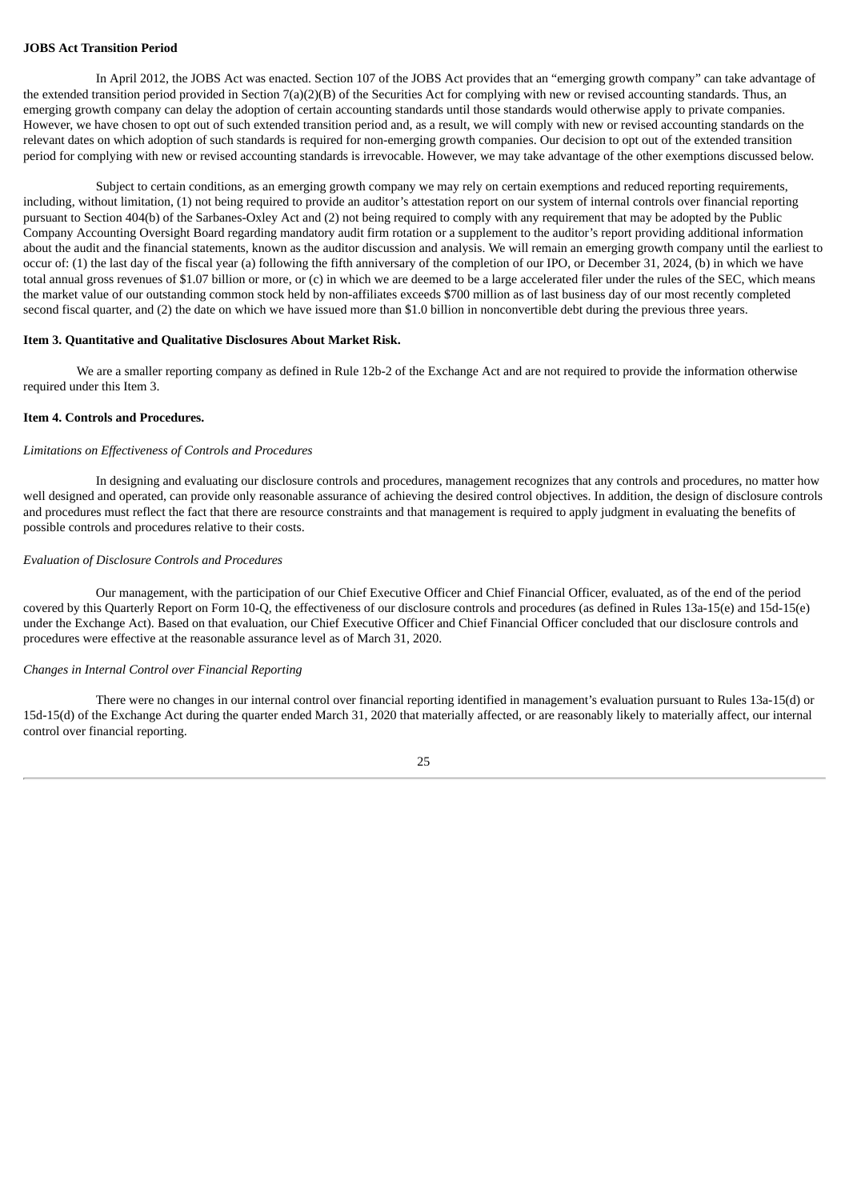#### **JOBS Act Transition Period**

In April 2012, the JOBS Act was enacted. Section 107 of the JOBS Act provides that an "emerging growth company" can take advantage of the extended transition period provided in Section 7(a)(2)(B) of the Securities Act for complying with new or revised accounting standards. Thus, an emerging growth company can delay the adoption of certain accounting standards until those standards would otherwise apply to private companies. However, we have chosen to opt out of such extended transition period and, as a result, we will comply with new or revised accounting standards on the relevant dates on which adoption of such standards is required for non-emerging growth companies. Our decision to opt out of the extended transition period for complying with new or revised accounting standards is irrevocable. However, we may take advantage of the other exemptions discussed below.

Subject to certain conditions, as an emerging growth company we may rely on certain exemptions and reduced reporting requirements, including, without limitation, (1) not being required to provide an auditor's attestation report on our system of internal controls over financial reporting pursuant to Section 404(b) of the Sarbanes-Oxley Act and (2) not being required to comply with any requirement that may be adopted by the Public Company Accounting Oversight Board regarding mandatory audit firm rotation or a supplement to the auditor's report providing additional information about the audit and the financial statements, known as the auditor discussion and analysis. We will remain an emerging growth company until the earliest to occur of: (1) the last day of the fiscal year (a) following the fifth anniversary of the completion of our IPO, or December 31, 2024, (b) in which we have total annual gross revenues of \$1.07 billion or more, or (c) in which we are deemed to be a large accelerated filer under the rules of the SEC, which means the market value of our outstanding common stock held by non-affiliates exceeds \$700 million as of last business day of our most recently completed second fiscal quarter, and (2) the date on which we have issued more than \$1.0 billion in nonconvertible debt during the previous three years.

#### <span id="page-25-0"></span>**Item 3. Quantitative and Qualitative Disclosures About Market Risk.**

We are a smaller reporting company as defined in Rule 12b-2 of the Exchange Act and are not required to provide the information otherwise required under this Item 3.

#### <span id="page-25-1"></span>**Item 4. Controls and Procedures.**

#### *Limitations on Effectiveness of Controls and Procedures*

In designing and evaluating our disclosure controls and procedures, management recognizes that any controls and procedures, no matter how well designed and operated, can provide only reasonable assurance of achieving the desired control objectives. In addition, the design of disclosure controls and procedures must reflect the fact that there are resource constraints and that management is required to apply judgment in evaluating the benefits of possible controls and procedures relative to their costs.

#### *Evaluation of Disclosure Controls and Procedures*

Our management, with the participation of our Chief Executive Officer and Chief Financial Officer, evaluated, as of the end of the period covered by this Quarterly Report on Form 10-Q, the effectiveness of our disclosure controls and procedures (as defined in Rules 13a-15(e) and 15d-15(e) under the Exchange Act). Based on that evaluation, our Chief Executive Officer and Chief Financial Officer concluded that our disclosure controls and procedures were effective at the reasonable assurance level as of March 31, 2020.

#### *Changes in Internal Control over Financial Reporting*

There were no changes in our internal control over financial reporting identified in management's evaluation pursuant to Rules 13a-15(d) or 15d-15(d) of the Exchange Act during the quarter ended March 31, 2020 that materially affected, or are reasonably likely to materially affect, our internal control over financial reporting.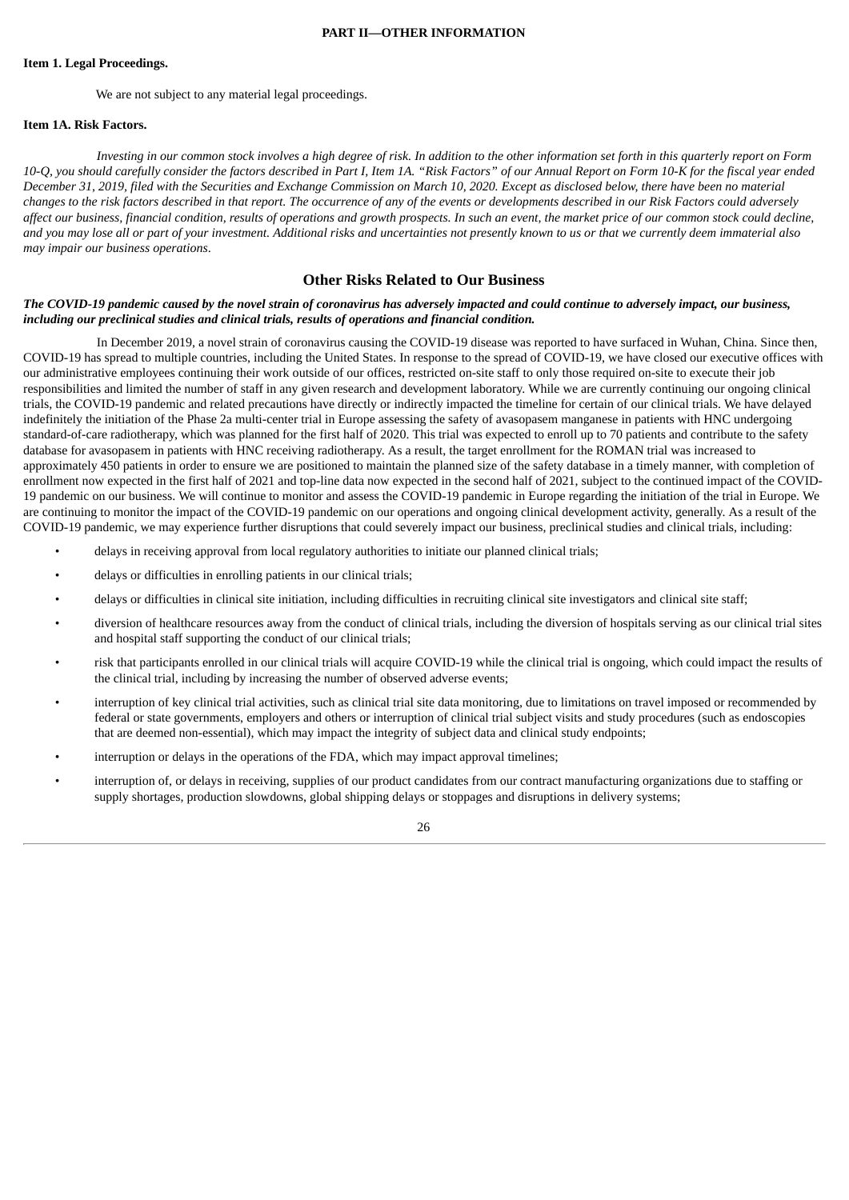#### **PART II—OTHER INFORMATION**

#### <span id="page-26-1"></span><span id="page-26-0"></span>**Item 1. Legal Proceedings.**

We are not subject to any material legal proceedings.

#### <span id="page-26-2"></span>**Item 1A. Risk Factors.**

Investing in our common stock involves a high degree of risk. In addition to the other information set forth in this quarterly report on Form 10-Q, you should carefully consider the factors described in Part I, Item 1A. "Risk Factors" of our Annual Report on Form 10-K for the fiscal year ended December 31, 2019, filed with the Securities and Exchange Commission on March 10, 2020. Except as disclosed below, there have been no material changes to the risk factors described in that report. The occurrence of any of the events or developments described in our Risk Factors could adversely affect our business, financial condition, results of operations and growth prospects. In such an event, the market price of our common stock could decline, and you may lose all or part of your investment. Additional risks and uncertainties not presently known to us or that we currently deem immaterial also *may impair our business operations*.

#### **Other Risks Related to Our Business**

#### The COVID-19 pandemic caused by the novel strain of coronavirus has adversely impacted and could continue to adversely impact, our business, *including our preclinical studies and clinical trials, results of operations and financial condition.*

In December 2019, a novel strain of coronavirus causing the COVID-19 disease was reported to have surfaced in Wuhan, China. Since then, COVID-19 has spread to multiple countries, including the United States. In response to the spread of COVID-19, we have closed our executive offices with our administrative employees continuing their work outside of our offices, restricted on-site staff to only those required on-site to execute their job responsibilities and limited the number of staff in any given research and development laboratory. While we are currently continuing our ongoing clinical trials, the COVID-19 pandemic and related precautions have directly or indirectly impacted the timeline for certain of our clinical trials. We have delayed indefinitely the initiation of the Phase 2a multi-center trial in Europe assessing the safety of avasopasem manganese in patients with HNC undergoing standard-of-care radiotherapy, which was planned for the first half of 2020. This trial was expected to enroll up to 70 patients and contribute to the safety database for avasopasem in patients with HNC receiving radiotherapy. As a result, the target enrollment for the ROMAN trial was increased to approximately 450 patients in order to ensure we are positioned to maintain the planned size of the safety database in a timely manner, with completion of enrollment now expected in the first half of 2021 and top-line data now expected in the second half of 2021, subject to the continued impact of the COVID-19 pandemic on our business. We will continue to monitor and assess the COVID-19 pandemic in Europe regarding the initiation of the trial in Europe. We are continuing to monitor the impact of the COVID-19 pandemic on our operations and ongoing clinical development activity, generally. As a result of the COVID-19 pandemic, we may experience further disruptions that could severely impact our business, preclinical studies and clinical trials, including:

- delays in receiving approval from local regulatory authorities to initiate our planned clinical trials;
- delays or difficulties in enrolling patients in our clinical trials;
- delays or difficulties in clinical site initiation, including difficulties in recruiting clinical site investigators and clinical site staff;
- diversion of healthcare resources away from the conduct of clinical trials, including the diversion of hospitals serving as our clinical trial sites and hospital staff supporting the conduct of our clinical trials;
- risk that participants enrolled in our clinical trials will acquire COVID-19 while the clinical trial is ongoing, which could impact the results of the clinical trial, including by increasing the number of observed adverse events;
- interruption of key clinical trial activities, such as clinical trial site data monitoring, due to limitations on travel imposed or recommended by federal or state governments, employers and others or interruption of clinical trial subject visits and study procedures (such as endoscopies that are deemed non-essential), which may impact the integrity of subject data and clinical study endpoints;
- interruption or delays in the operations of the FDA, which may impact approval timelines;
- interruption of, or delays in receiving, supplies of our product candidates from our contract manufacturing organizations due to staffing or supply shortages, production slowdowns, global shipping delays or stoppages and disruptions in delivery systems;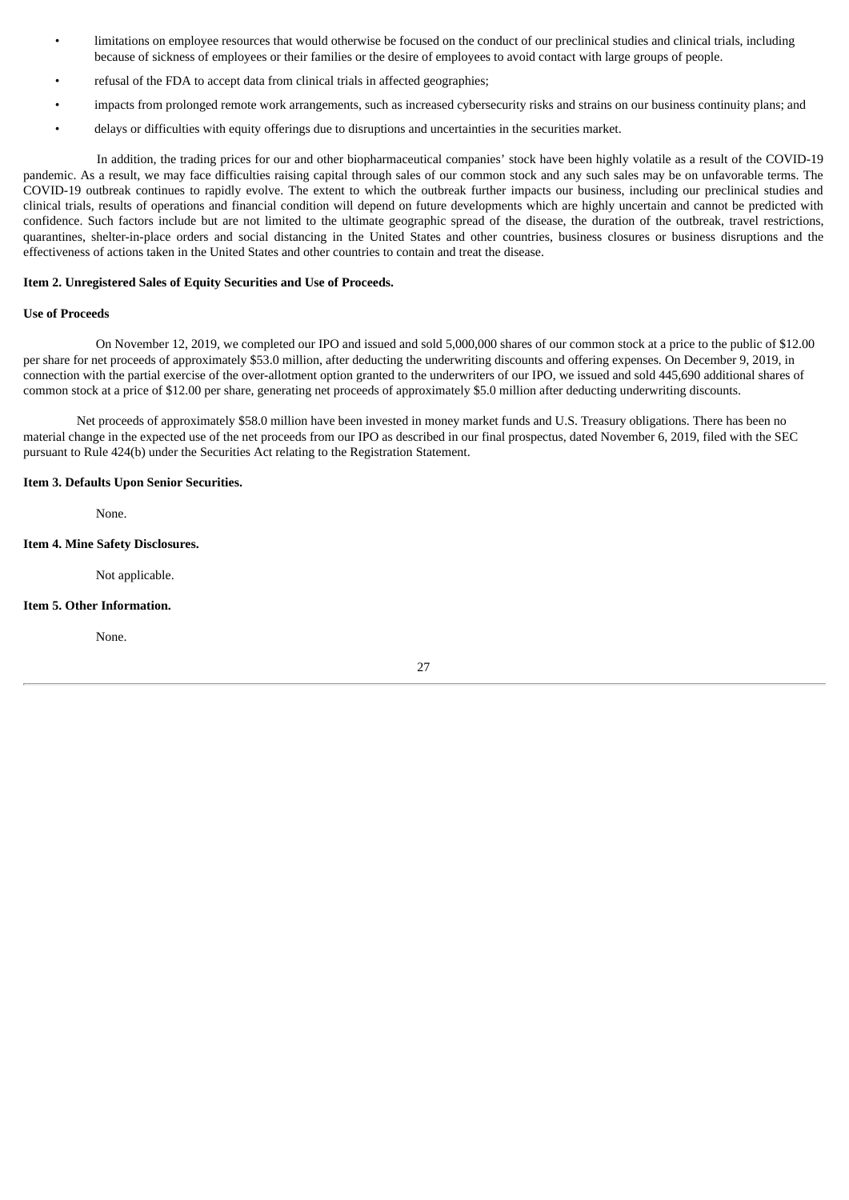- limitations on employee resources that would otherwise be focused on the conduct of our preclinical studies and clinical trials, including because of sickness of employees or their families or the desire of employees to avoid contact with large groups of people.
- refusal of the FDA to accept data from clinical trials in affected geographies;
- impacts from prolonged remote work arrangements, such as increased cybersecurity risks and strains on our business continuity plans; and
- delays or difficulties with equity offerings due to disruptions and uncertainties in the securities market.

In addition, the trading prices for our and other biopharmaceutical companies' stock have been highly volatile as a result of the COVID-19 pandemic. As a result, we may face difficulties raising capital through sales of our common stock and any such sales may be on unfavorable terms. The COVID-19 outbreak continues to rapidly evolve. The extent to which the outbreak further impacts our business, including our preclinical studies and clinical trials, results of operations and financial condition will depend on future developments which are highly uncertain and cannot be predicted with confidence. Such factors include but are not limited to the ultimate geographic spread of the disease, the duration of the outbreak, travel restrictions, quarantines, shelter-in-place orders and social distancing in the United States and other countries, business closures or business disruptions and the effectiveness of actions taken in the United States and other countries to contain and treat the disease.

#### <span id="page-27-0"></span>**Item 2. Unregistered Sales of Equity Securities and Use of Proceeds.**

#### **Use of Proceeds**

On November 12, 2019, we completed our IPO and issued and sold 5,000,000 shares of our common stock at a price to the public of \$12.00 per share for net proceeds of approximately \$53.0 million, after deducting the underwriting discounts and offering expenses. On December 9, 2019, in connection with the partial exercise of the over-allotment option granted to the underwriters of our IPO, we issued and sold 445,690 additional shares of common stock at a price of \$12.00 per share, generating net proceeds of approximately \$5.0 million after deducting underwriting discounts.

Net proceeds of approximately \$58.0 million have been invested in money market funds and U.S. Treasury obligations. There has been no material change in the expected use of the net proceeds from our IPO as described in our final prospectus, dated November 6, 2019, filed with the SEC pursuant to Rule 424(b) under the Securities Act relating to the Registration Statement.

#### <span id="page-27-1"></span>**Item 3. Defaults Upon Senior Securities.**

None.

#### <span id="page-27-2"></span>**Item 4. Mine Safety Disclosures.**

Not applicable.

#### <span id="page-27-3"></span>**Item 5. Other Information.**

None.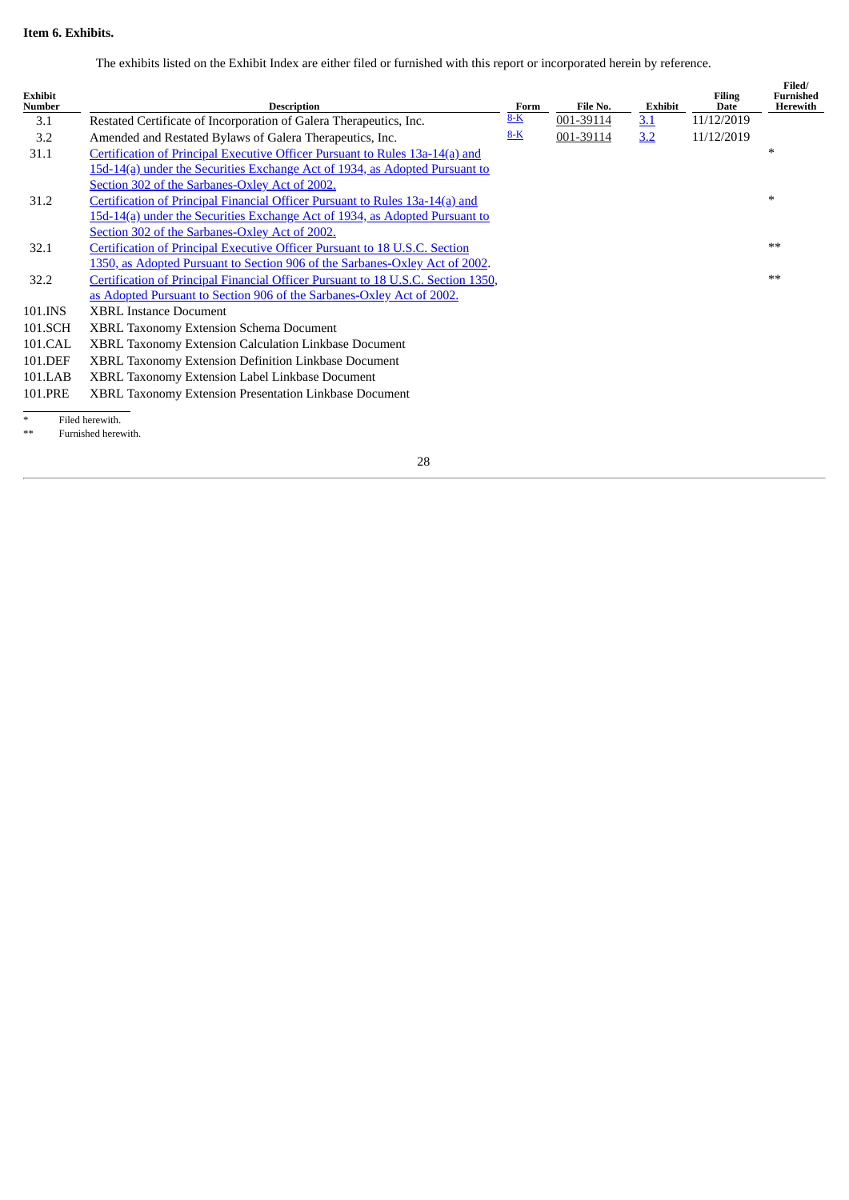#### <span id="page-28-0"></span>**Item 6. Exhibits.**

The exhibits listed on the Exhibit Index are either filed or furnished with this report or incorporated herein by reference.

| Exhibit<br>Number | <b>Description</b>                                                                | Form  | File No.  | <b>Exhibit</b> | <b>Filing</b><br><b>Date</b> | Filed/<br><b>Furnished</b><br>Herewith |
|-------------------|-----------------------------------------------------------------------------------|-------|-----------|----------------|------------------------------|----------------------------------------|
| 3.1               | Restated Certificate of Incorporation of Galera Therapeutics, Inc.                | $8-K$ | 001-39114 | 3.1            | 11/12/2019                   |                                        |
| 3.2               | Amended and Restated Bylaws of Galera Therapeutics, Inc.                          | $8-K$ | 001-39114 | 3.2            | 11/12/2019                   |                                        |
| 31.1              | Certification of Principal Executive Officer Pursuant to Rules 13a-14(a) and      |       |           |                |                              | $\ast$                                 |
|                   | 15d-14(a) under the Securities Exchange Act of 1934, as Adopted Pursuant to       |       |           |                |                              |                                        |
|                   | Section 302 of the Sarbanes-Oxley Act of 2002.                                    |       |           |                |                              |                                        |
| 31.2              | Certification of Principal Financial Officer Pursuant to Rules 13a-14(a) and      |       |           |                |                              | $\ast$                                 |
|                   | 15d-14(a) under the Securities Exchange Act of 1934, as Adopted Pursuant to       |       |           |                |                              |                                        |
|                   | Section 302 of the Sarbanes-Oxley Act of 2002.                                    |       |           |                |                              |                                        |
| 32.1              | <b>Certification of Principal Executive Officer Pursuant to 18 U.S.C. Section</b> |       |           |                |                              | $***$                                  |
|                   | 1350, as Adopted Pursuant to Section 906 of the Sarbanes-Oxley Act of 2002.       |       |           |                |                              |                                        |
| 32.2              | Certification of Principal Financial Officer Pursuant to 18 U.S.C. Section 1350,  |       |           |                |                              | $***$                                  |
|                   | as Adopted Pursuant to Section 906 of the Sarbanes-Oxley Act of 2002.             |       |           |                |                              |                                        |
| 101.INS           | <b>XBRL Instance Document</b>                                                     |       |           |                |                              |                                        |
| 101.SCH           | <b>XBRL Taxonomy Extension Schema Document</b>                                    |       |           |                |                              |                                        |
| 101.CAL           | <b>XBRL Taxonomy Extension Calculation Linkbase Document</b>                      |       |           |                |                              |                                        |
| 101.DEF           | XBRL Taxonomy Extension Definition Linkbase Document                              |       |           |                |                              |                                        |
| 101.LAB           | XBRL Taxonomy Extension Label Linkbase Document                                   |       |           |                |                              |                                        |
| 101.PRE           | XBRL Taxonomy Extension Presentation Linkbase Document                            |       |           |                |                              |                                        |
| $\ast$            | Filed herewith.                                                                   |       |           |                |                              |                                        |

\*\* Furnished herewith.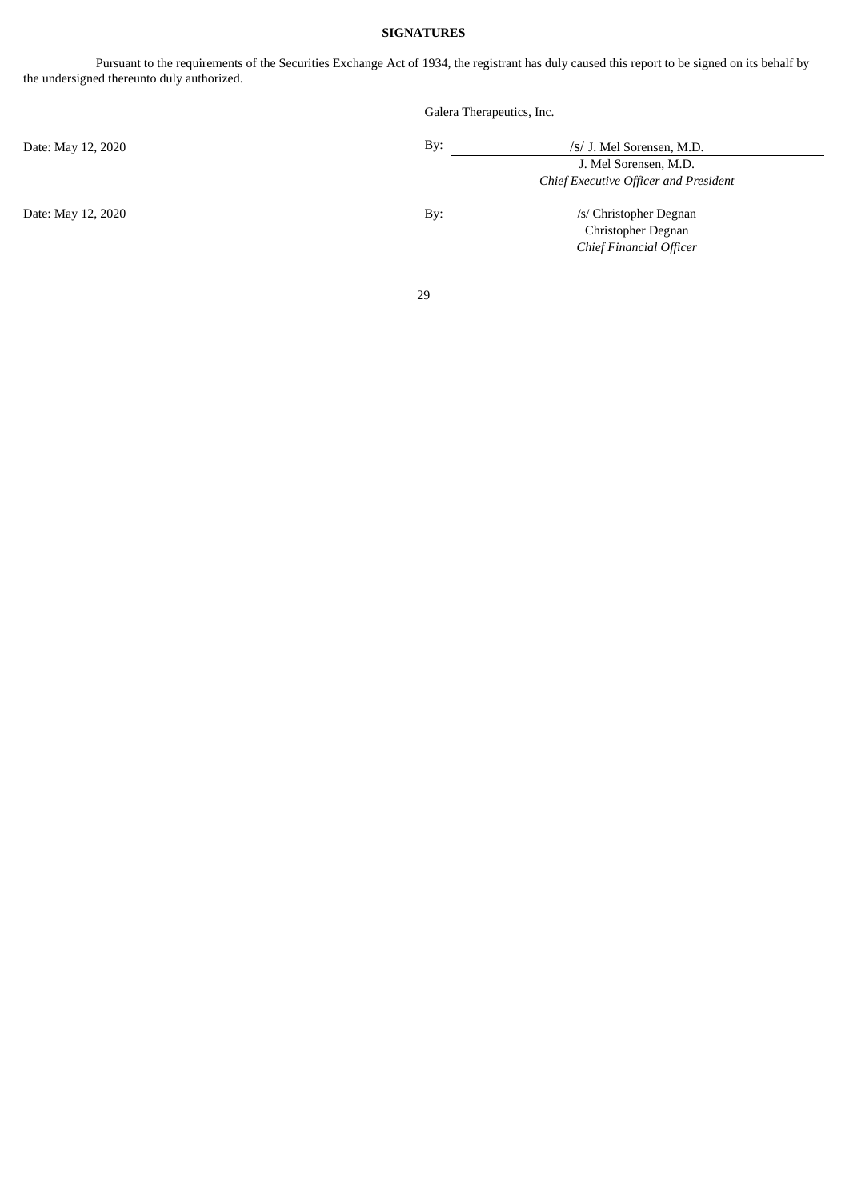#### **SIGNATURES**

<span id="page-29-0"></span>Pursuant to the requirements of the Securities Exchange Act of 1934, the registrant has duly caused this report to be signed on its behalf by the undersigned thereunto duly authorized.

Galera Therapeutics, Inc.

Date: May 12, 2020 By: /s/ J. Mel Sorensen, M.D. J. Mel Sorensen, M.D. *Chief Executive Officer and President* Date: May 12, 2020 By: /s/ Christopher Degnan Christopher Degnan *Chief Financial Officer* 29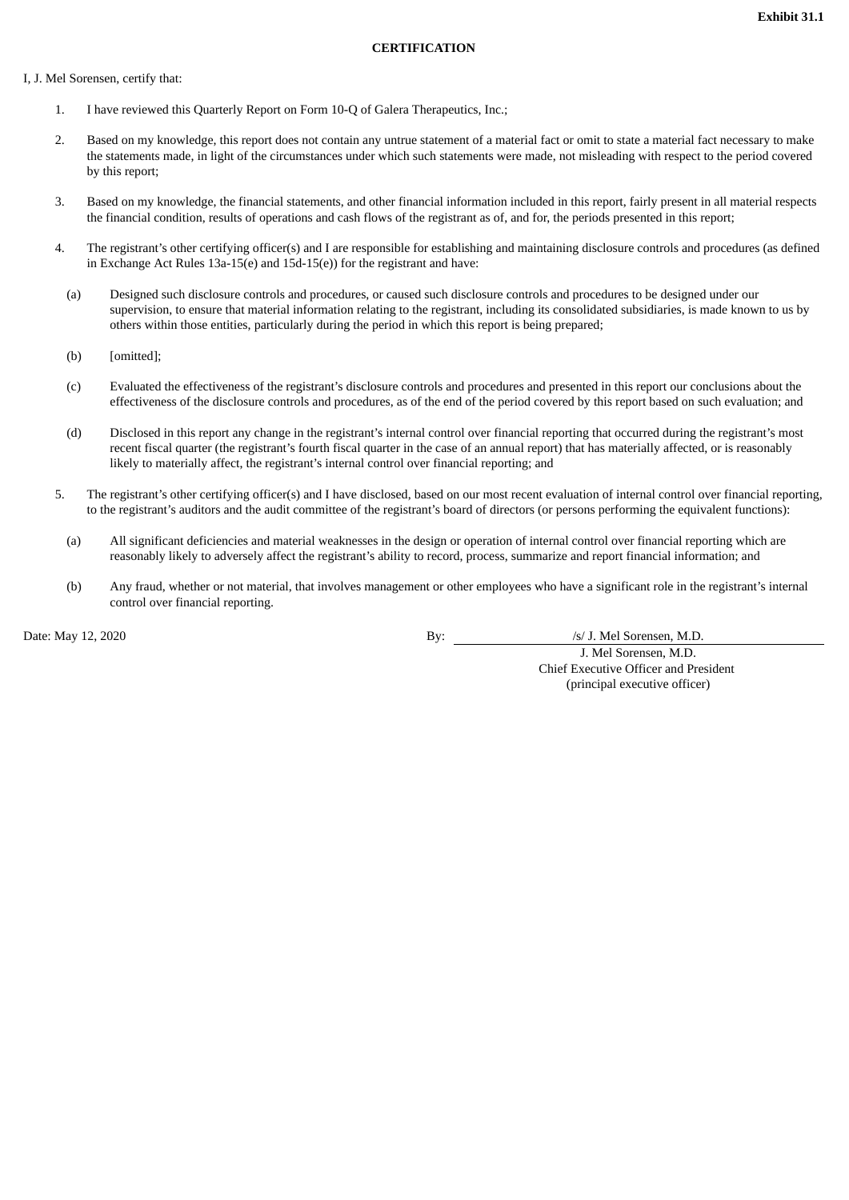#### **CERTIFICATION**

#### <span id="page-30-0"></span>I, J. Mel Sorensen, certify that:

- 1. I have reviewed this Quarterly Report on Form 10-Q of Galera Therapeutics, Inc.;
- 2. Based on my knowledge, this report does not contain any untrue statement of a material fact or omit to state a material fact necessary to make the statements made, in light of the circumstances under which such statements were made, not misleading with respect to the period covered by this report;
- 3. Based on my knowledge, the financial statements, and other financial information included in this report, fairly present in all material respects the financial condition, results of operations and cash flows of the registrant as of, and for, the periods presented in this report;
- 4. The registrant's other certifying officer(s) and I are responsible for establishing and maintaining disclosure controls and procedures (as defined in Exchange Act Rules 13a-15(e) and 15d-15(e)) for the registrant and have:
	- (a) Designed such disclosure controls and procedures, or caused such disclosure controls and procedures to be designed under our supervision, to ensure that material information relating to the registrant, including its consolidated subsidiaries, is made known to us by others within those entities, particularly during the period in which this report is being prepared;
	- (b) [omitted];
	- (c) Evaluated the effectiveness of the registrant's disclosure controls and procedures and presented in this report our conclusions about the effectiveness of the disclosure controls and procedures, as of the end of the period covered by this report based on such evaluation; and
	- (d) Disclosed in this report any change in the registrant's internal control over financial reporting that occurred during the registrant's most recent fiscal quarter (the registrant's fourth fiscal quarter in the case of an annual report) that has materially affected, or is reasonably likely to materially affect, the registrant's internal control over financial reporting; and
- 5. The registrant's other certifying officer(s) and I have disclosed, based on our most recent evaluation of internal control over financial reporting, to the registrant's auditors and the audit committee of the registrant's board of directors (or persons performing the equivalent functions):
	- (a) All significant deficiencies and material weaknesses in the design or operation of internal control over financial reporting which are reasonably likely to adversely affect the registrant's ability to record, process, summarize and report financial information; and
	- (b) Any fraud, whether or not material, that involves management or other employees who have a significant role in the registrant's internal control over financial reporting.

Date: May 12, 2020 By: /s/ J. Mel Sorensen, M.D.

J. Mel Sorensen, M.D. Chief Executive Officer and President (principal executive officer)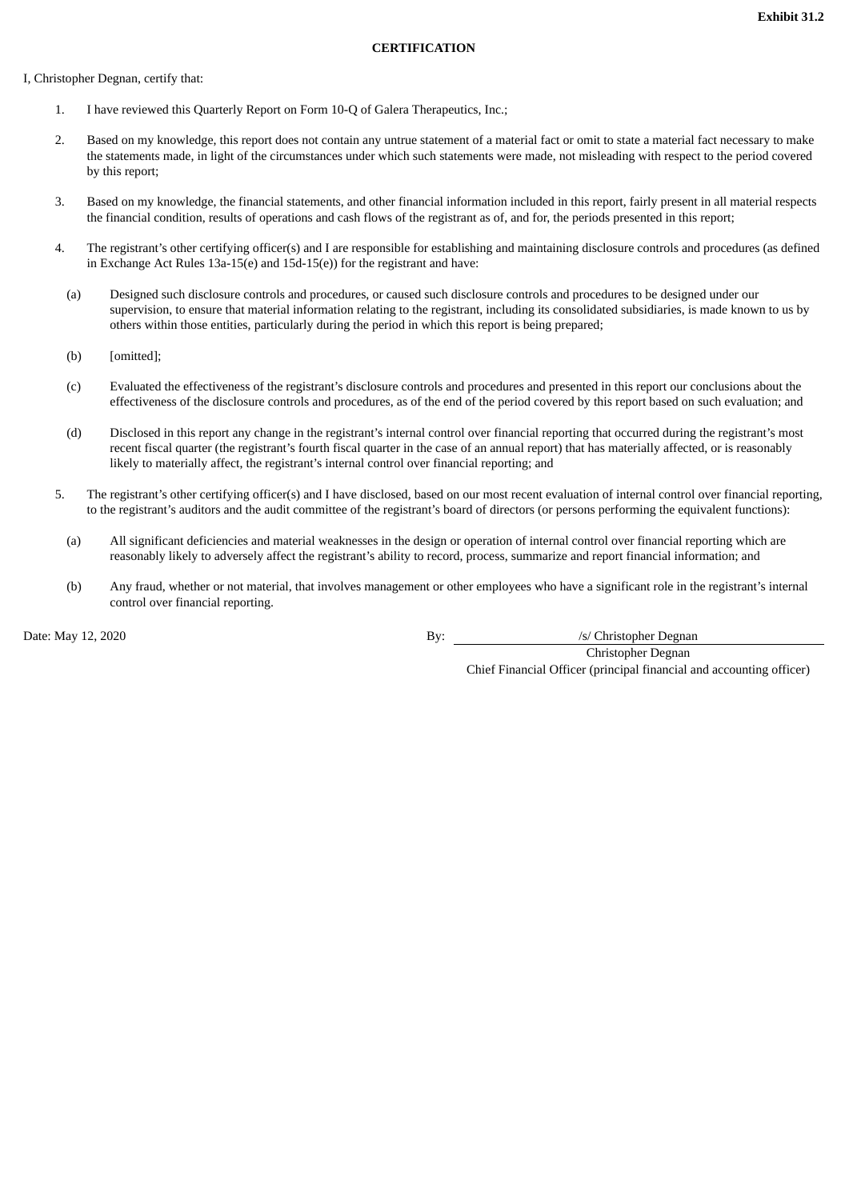#### **CERTIFICATION**

<span id="page-31-0"></span>I, Christopher Degnan, certify that:

- 1. I have reviewed this Quarterly Report on Form 10-Q of Galera Therapeutics, Inc.;
- 2. Based on my knowledge, this report does not contain any untrue statement of a material fact or omit to state a material fact necessary to make the statements made, in light of the circumstances under which such statements were made, not misleading with respect to the period covered by this report;
- 3. Based on my knowledge, the financial statements, and other financial information included in this report, fairly present in all material respects the financial condition, results of operations and cash flows of the registrant as of, and for, the periods presented in this report;
- 4. The registrant's other certifying officer(s) and I are responsible for establishing and maintaining disclosure controls and procedures (as defined in Exchange Act Rules 13a-15(e) and 15d-15(e)) for the registrant and have:
	- (a) Designed such disclosure controls and procedures, or caused such disclosure controls and procedures to be designed under our supervision, to ensure that material information relating to the registrant, including its consolidated subsidiaries, is made known to us by others within those entities, particularly during the period in which this report is being prepared;
	- (b) [omitted];
	- (c) Evaluated the effectiveness of the registrant's disclosure controls and procedures and presented in this report our conclusions about the effectiveness of the disclosure controls and procedures, as of the end of the period covered by this report based on such evaluation; and
	- (d) Disclosed in this report any change in the registrant's internal control over financial reporting that occurred during the registrant's most recent fiscal quarter (the registrant's fourth fiscal quarter in the case of an annual report) that has materially affected, or is reasonably likely to materially affect, the registrant's internal control over financial reporting; and
- 5. The registrant's other certifying officer(s) and I have disclosed, based on our most recent evaluation of internal control over financial reporting, to the registrant's auditors and the audit committee of the registrant's board of directors (or persons performing the equivalent functions):
	- (a) All significant deficiencies and material weaknesses in the design or operation of internal control over financial reporting which are reasonably likely to adversely affect the registrant's ability to record, process, summarize and report financial information; and
	- (b) Any fraud, whether or not material, that involves management or other employees who have a significant role in the registrant's internal control over financial reporting.

Date: May 12, 2020 **By:** /s/ Christopher Degnan

Christopher Degnan Chief Financial Officer (principal financial and accounting officer)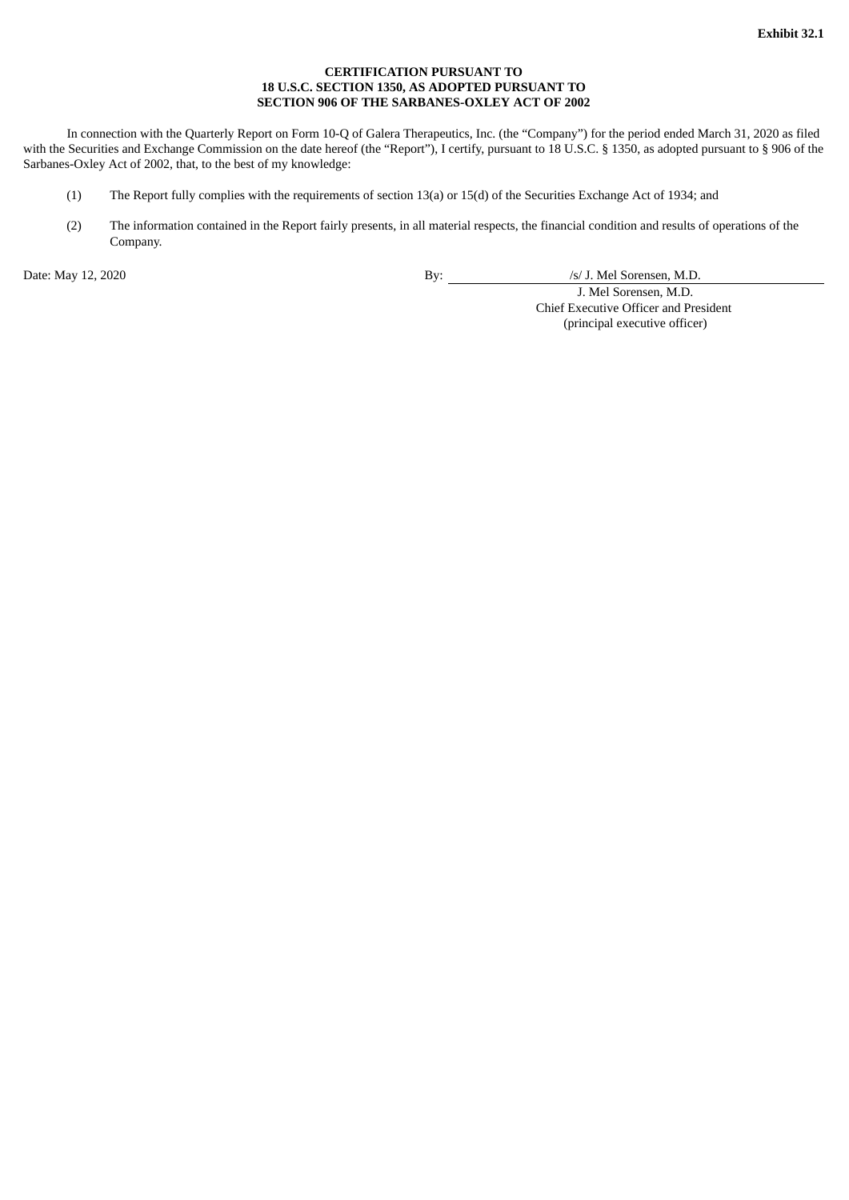#### **CERTIFICATION PURSUANT TO 18 U.S.C. SECTION 1350, AS ADOPTED PURSUANT TO SECTION 906 OF THE SARBANES-OXLEY ACT OF 2002**

<span id="page-32-0"></span>In connection with the Quarterly Report on Form 10-Q of Galera Therapeutics, Inc. (the "Company") for the period ended March 31, 2020 as filed with the Securities and Exchange Commission on the date hereof (the "Report"), I certify, pursuant to 18 U.S.C. § 1350, as adopted pursuant to § 906 of the Sarbanes-Oxley Act of 2002, that, to the best of my knowledge:

- (1) The Report fully complies with the requirements of section 13(a) or 15(d) of the Securities Exchange Act of 1934; and
- (2) The information contained in the Report fairly presents, in all material respects, the financial condition and results of operations of the Company.

Date: May 12, 2020 By: */s/ J. Mel Sorensen, M.D.* 

J. Mel Sorensen, M.D. Chief Executive Officer and President (principal executive officer)